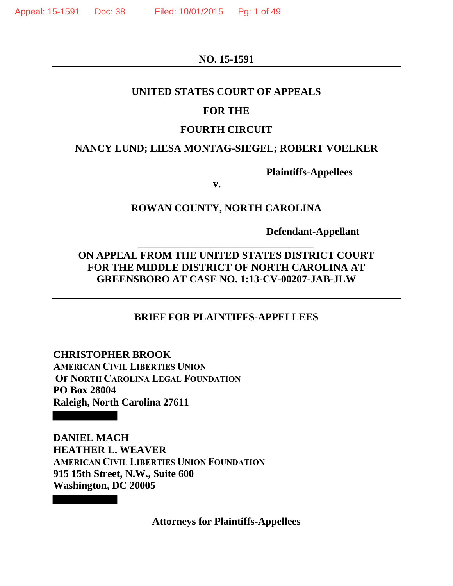**NO. 15-1591** 

#### **UNITED STATES COURT OF APPEALS**

## **FOR THE**

#### **FOURTH CIRCUIT**

## **NANCY LUND; LIESA MONTAG-SIEGEL; ROBERT VOELKER**

**Plaintiffs-Appellees** 

 **v.**

## **ROWAN COUNTY, NORTH CAROLINA**

 **Defendant-Appellant** 

# **ON APPEAL FROM THE UNITED STATES DISTRICT COURT FOR THE MIDDLE DISTRICT OF NORTH CAROLINA AT GREENSBORO AT CASE NO. 1:13-CV-00207-JAB-JLW**

**\_\_\_\_\_\_\_\_\_\_\_\_\_\_\_\_\_\_\_\_\_\_\_\_\_\_\_\_\_\_\_\_\_\_** 

## **BRIEF FOR PLAINTIFFS-APPELLEES**

# **CHRISTOPHER BROOK AMERICAN CIVIL LIBERTIES UNION OF NORTH CAROLINA LEGAL FOUNDATION PO Box 28004 Raleigh, North Carolina 27611**

**DANIEL MACH HEATHER L. WEAVER AMERICAN CIVIL LIBERTIES UNION FOUNDATION 915 15th Street, N.W., Suite 600 Washington, DC 20005** 

**Attorneys for Plaintiffs-Appellees**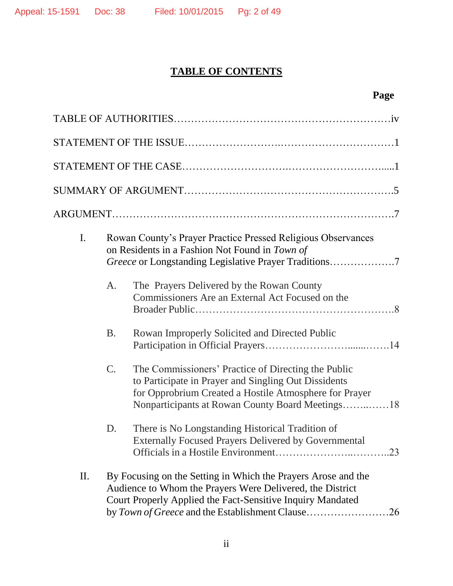# **TABLE OF CONTENTS**

# **Page**

| I. |                                                                                                                                                                                                                                              | Rowan County's Prayer Practice Pressed Religious Observances<br>on Residents in a Fashion Not Found in Town of<br>Greece or Longstanding Legislative Prayer Traditions7                                                   |  |  |
|----|----------------------------------------------------------------------------------------------------------------------------------------------------------------------------------------------------------------------------------------------|---------------------------------------------------------------------------------------------------------------------------------------------------------------------------------------------------------------------------|--|--|
|    | A.                                                                                                                                                                                                                                           | The Prayers Delivered by the Rowan County<br>Commissioners Are an External Act Focused on the                                                                                                                             |  |  |
|    | <b>B.</b>                                                                                                                                                                                                                                    | Rowan Improperly Solicited and Directed Public                                                                                                                                                                            |  |  |
|    | C.                                                                                                                                                                                                                                           | The Commissioners' Practice of Directing the Public<br>to Participate in Prayer and Singling Out Dissidents<br>for Opprobrium Created a Hostile Atmosphere for Prayer<br>Nonparticipants at Rowan County Board Meetings18 |  |  |
|    | D.                                                                                                                                                                                                                                           | There is No Longstanding Historical Tradition of<br><b>Externally Focused Prayers Delivered by Governmental</b><br>23                                                                                                     |  |  |
| П. | By Focusing on the Setting in Which the Prayers Arose and the<br>Audience to Whom the Prayers Were Delivered, the District<br>Court Properly Applied the Fact-Sensitive Inquiry Mandated<br>by Town of Greece and the Establishment Clause26 |                                                                                                                                                                                                                           |  |  |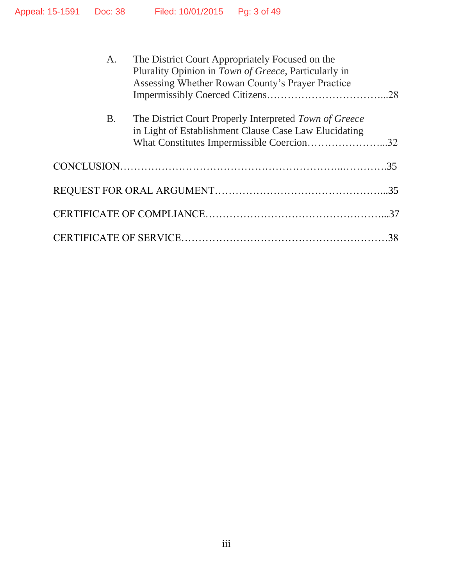| A.        | The District Court Appropriately Focused on the<br>Plurality Opinion in Town of Greece, Particularly in<br>Assessing Whether Rowan County's Prayer Practice<br>The District Court Properly Interpreted Town of Greece<br>in Light of Establishment Clause Case Law Elucidating |    |
|-----------|--------------------------------------------------------------------------------------------------------------------------------------------------------------------------------------------------------------------------------------------------------------------------------|----|
| <b>B.</b> |                                                                                                                                                                                                                                                                                |    |
|           | What Constitutes Impermissible Coercion32                                                                                                                                                                                                                                      |    |
|           |                                                                                                                                                                                                                                                                                |    |
|           |                                                                                                                                                                                                                                                                                |    |
|           |                                                                                                                                                                                                                                                                                |    |
|           |                                                                                                                                                                                                                                                                                | 38 |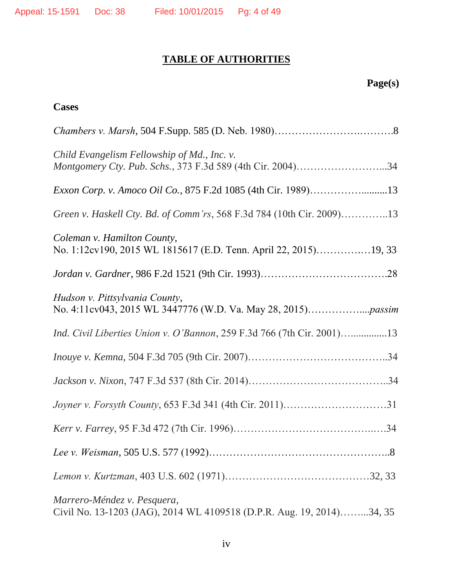# **TABLE OF AUTHORITIES**

# **Page(s)**

# **Cases**

| Child Evangelism Fellowship of Md., Inc. v.<br>Montgomery Cty. Pub. Schs., 373 F.3d 589 (4th Cir. 2004)34 |
|-----------------------------------------------------------------------------------------------------------|
| Exxon Corp. v. Amoco Oil Co., 875 F.2d 1085 (4th Cir. 1989)13                                             |
| Green v. Haskell Cty. Bd. of Comm'rs, 568 F.3d 784 (10th Cir. 2009)13                                     |
| Coleman v. Hamilton County,<br>No. 1:12cv190, 2015 WL 1815617 (E.D. Tenn. April 22, 2015)19, 33           |
|                                                                                                           |
| Hudson v. Pittsylvania County,                                                                            |
| Ind. Civil Liberties Union v. O'Bannon, 259 F.3d 766 (7th Cir. 2001)13                                    |
|                                                                                                           |
|                                                                                                           |
|                                                                                                           |
|                                                                                                           |
|                                                                                                           |
|                                                                                                           |
| Marrero-Méndez v. Pesquera,<br>Civil No. 13-1203 (JAG), 2014 WL 4109518 (D.P.R. Aug. 19, 2014)34, 35      |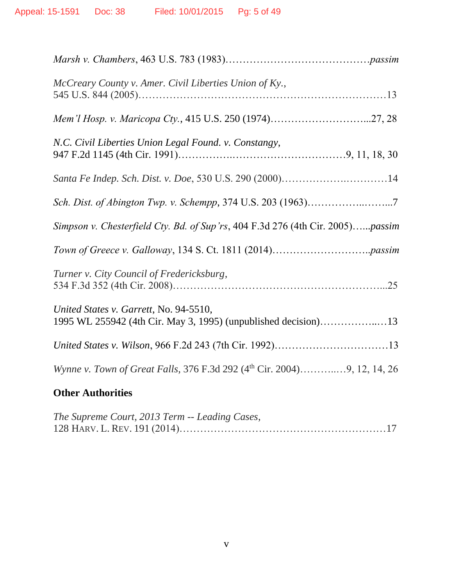| McCreary County v. Amer. Civil Liberties Union of Ky.,                                                   |
|----------------------------------------------------------------------------------------------------------|
|                                                                                                          |
| N.C. Civil Liberties Union Legal Found. v. Constangy,                                                    |
|                                                                                                          |
|                                                                                                          |
| Simpson v. Chesterfield Cty. Bd. of Sup'rs, 404 F.3d 276 (4th Cir. 2005)passim                           |
|                                                                                                          |
| Turner v. City Council of Fredericksburg,                                                                |
| United States v. Garrett, No. 94-5510,<br>1995 WL 255942 (4th Cir. May 3, 1995) (unpublished decision)13 |
|                                                                                                          |
|                                                                                                          |
|                                                                                                          |

# **Other Authorities**

| The Supreme Court, 2013 Term -- Leading Cases, |  |
|------------------------------------------------|--|
|                                                |  |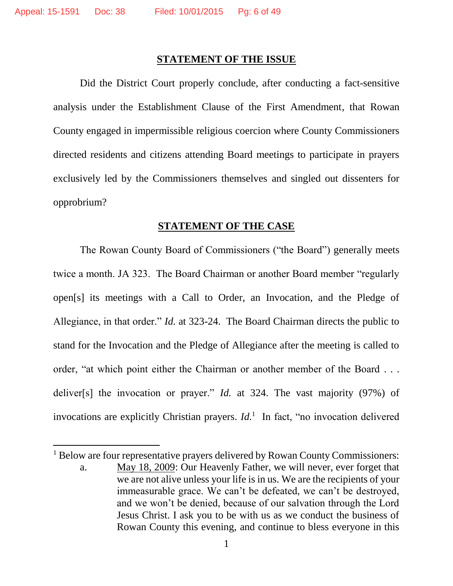$\overline{\phantom{a}}$ 

#### **STATEMENT OF THE ISSUE**

Did the District Court properly conclude, after conducting a fact-sensitive analysis under the Establishment Clause of the First Amendment, that Rowan County engaged in impermissible religious coercion where County Commissioners directed residents and citizens attending Board meetings to participate in prayers exclusively led by the Commissioners themselves and singled out dissenters for opprobrium?

#### **STATEMENT OF THE CASE**

The Rowan County Board of Commissioners ("the Board") generally meets twice a month. JA 323. The Board Chairman or another Board member "regularly open[s] its meetings with a Call to Order, an Invocation, and the Pledge of Allegiance, in that order." *Id.* at 323-24. The Board Chairman directs the public to stand for the Invocation and the Pledge of Allegiance after the meeting is called to order, "at which point either the Chairman or another member of the Board . . . deliver[s] the invocation or prayer." *Id.* at 324. The vast majority (97%) of invocations are explicitly Christian prayers. *Id.*<sup>1</sup> In fact, "no invocation delivered

<sup>&</sup>lt;sup>1</sup> Below are four representative prayers delivered by Rowan County Commissioners: a. May 18, 2009: Our Heavenly Father, we will never, ever forget that we are not alive unless your life is in us. We are the recipients of your immeasurable grace. We can't be defeated, we can't be destroyed,

and we won't be denied, because of our salvation through the Lord Jesus Christ. I ask you to be with us as we conduct the business of Rowan County this evening, and continue to bless everyone in this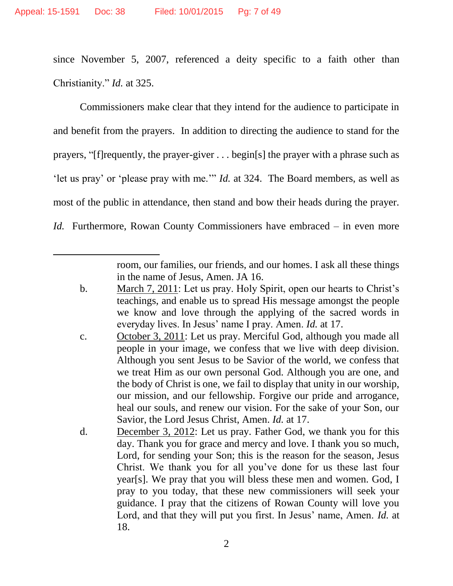$\overline{\phantom{a}}$ 

since November 5, 2007, referenced a deity specific to a faith other than Christianity." *Id.* at 325.

Commissioners make clear that they intend for the audience to participate in and benefit from the prayers. In addition to directing the audience to stand for the prayers, "[f]requently, the prayer-giver . . . begin[s] the prayer with a phrase such as 'let us pray' or 'please pray with me.'" *Id.* at 324. The Board members, as well as most of the public in attendance, then stand and bow their heads during the prayer. *Id.* Furthermore, Rowan County Commissioners have embraced – in even more

> room, our families, our friends, and our homes. I ask all these things in the name of Jesus, Amen. JA 16.

- b. March 7, 2011: Let us pray. Holy Spirit, open our hearts to Christ's teachings, and enable us to spread His message amongst the people we know and love through the applying of the sacred words in everyday lives. In Jesus' name I pray. Amen. *Id.* at 17.
- c. October 3, 2011: Let us pray. Merciful God, although you made all people in your image, we confess that we live with deep division. Although you sent Jesus to be Savior of the world, we confess that we treat Him as our own personal God. Although you are one, and the body of Christ is one, we fail to display that unity in our worship, our mission, and our fellowship. Forgive our pride and arrogance, heal our souls, and renew our vision. For the sake of your Son, our Savior, the Lord Jesus Christ, Amen. *Id.* at 17.
- d. December 3, 2012: Let us pray. Father God, we thank you for this day. Thank you for grace and mercy and love. I thank you so much, Lord, for sending your Son; this is the reason for the season, Jesus Christ. We thank you for all you've done for us these last four year[s]. We pray that you will bless these men and women. God, I pray to you today, that these new commissioners will seek your guidance. I pray that the citizens of Rowan County will love you Lord, and that they will put you first. In Jesus' name, Amen. *Id.* at 18.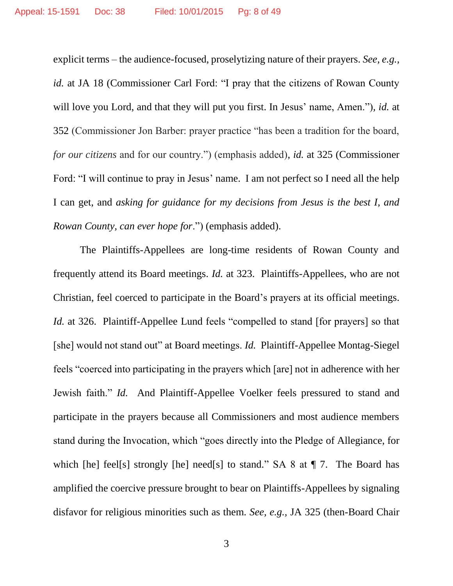explicit terms – the audience-focused, proselytizing nature of their prayers. *See, e.g., id.* at JA 18 (Commissioner Carl Ford: "I pray that the citizens of Rowan County will love you Lord, and that they will put you first. In Jesus' name, Amen.")*, id.* at 352 (Commissioner Jon Barber: prayer practice "has been a tradition for the board, *for our citizens* and for our country.") (emphasis added), *id.* at 325 (Commissioner Ford: "I will continue to pray in Jesus' name. I am not perfect so I need all the help I can get, and *asking for guidance for my decisions from Jesus is the best I, and Rowan County, can ever hope for*.") (emphasis added).

The Plaintiffs-Appellees are long-time residents of Rowan County and frequently attend its Board meetings. *Id.* at 323. Plaintiffs-Appellees, who are not Christian, feel coerced to participate in the Board's prayers at its official meetings. *Id.* at 326. Plaintiff-Appellee Lund feels "compelled to stand [for prayers] so that [she] would not stand out" at Board meetings. *Id.* Plaintiff-Appellee Montag-Siegel feels "coerced into participating in the prayers which [are] not in adherence with her Jewish faith." *Id.* And Plaintiff-Appellee Voelker feels pressured to stand and participate in the prayers because all Commissioners and most audience members stand during the Invocation, which "goes directly into the Pledge of Allegiance, for which [he] feel[s] strongly [he] need[s] to stand." SA 8 at  $\P$  7. The Board has amplified the coercive pressure brought to bear on Plaintiffs-Appellees by signaling disfavor for religious minorities such as them. *See, e.g.,* JA 325 (then-Board Chair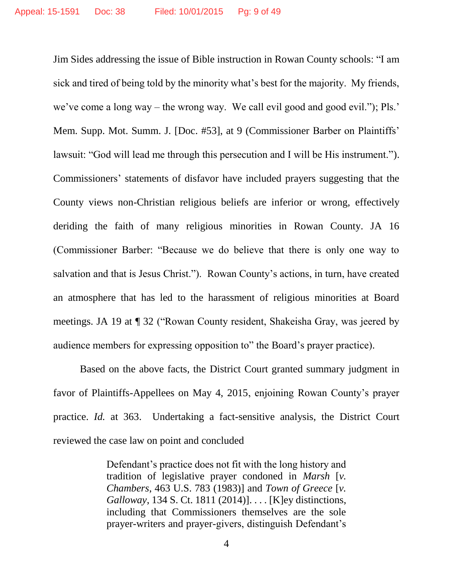Jim Sides addressing the issue of Bible instruction in Rowan County schools: "I am sick and tired of being told by the minority what's best for the majority. My friends, we've come a long way – the wrong way. We call evil good and good evil."); Pls.' Mem. Supp. Mot. Summ. J. [Doc. #53], at 9 (Commissioner Barber on Plaintiffs' lawsuit: "God will lead me through this persecution and I will be His instrument."). Commissioners' statements of disfavor have included prayers suggesting that the County views non-Christian religious beliefs are inferior or wrong, effectively deriding the faith of many religious minorities in Rowan County. JA 16 (Commissioner Barber: "Because we do believe that there is only one way to salvation and that is Jesus Christ."). Rowan County's actions, in turn, have created an atmosphere that has led to the harassment of religious minorities at Board meetings. JA 19 at ¶ 32 ("Rowan County resident, Shakeisha Gray, was jeered by audience members for expressing opposition to" the Board's prayer practice).

Based on the above facts, the District Court granted summary judgment in favor of Plaintiffs-Appellees on May 4, 2015, enjoining Rowan County's prayer practice. *Id.* at 363. Undertaking a fact-sensitive analysis, the District Court reviewed the case law on point and concluded

> Defendant's practice does not fit with the long history and tradition of legislative prayer condoned in *Marsh* [*v. Chambers*, 463 U.S. 783 (1983)] and *Town of Greece* [*v. Galloway*, 134 S. Ct. 1811 (2014)]. . . . [K]ey distinctions, including that Commissioners themselves are the sole prayer-writers and prayer-givers, distinguish Defendant's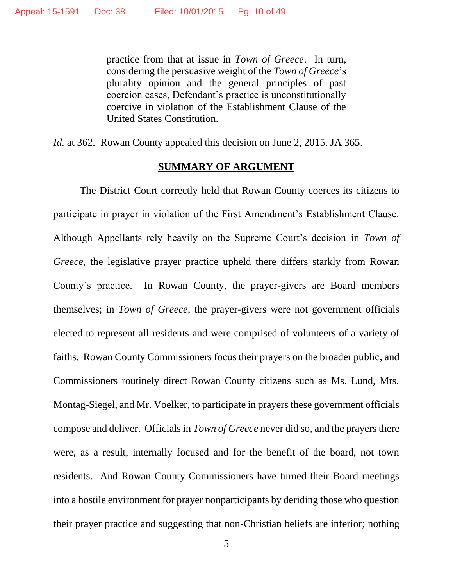practice from that at issue in *Town of Greece*. In turn, considering the persuasive weight of the *Town of Greece*'s plurality opinion and the general principles of past coercion cases, Defendant's practice is unconstitutionally coercive in violation of the Establishment Clause of the United States Constitution.

*Id.* at 362. Rowan County appealed this decision on June 2, 2015. JA 365.

#### **SUMMARY OF ARGUMENT**

The District Court correctly held that Rowan County coerces its citizens to participate in prayer in violation of the First Amendment's Establishment Clause. Although Appellants rely heavily on the Supreme Court's decision in *Town of Greece*, the legislative prayer practice upheld there differs starkly from Rowan County's practice. In Rowan County, the prayer-givers are Board members themselves; in *Town of Greece*, the prayer-givers were not government officials elected to represent all residents and were comprised of volunteers of a variety of faiths. Rowan County Commissioners focus their prayers on the broader public, and Commissioners routinely direct Rowan County citizens such as Ms. Lund, Mrs. Montag-Siegel, and Mr. Voelker, to participate in prayers these government officials compose and deliver. Officials in *Town of Greece* never did so, and the prayers there were, as a result, internally focused and for the benefit of the board, not town residents. And Rowan County Commissioners have turned their Board meetings into a hostile environment for prayer nonparticipants by deriding those who question their prayer practice and suggesting that non-Christian beliefs are inferior; nothing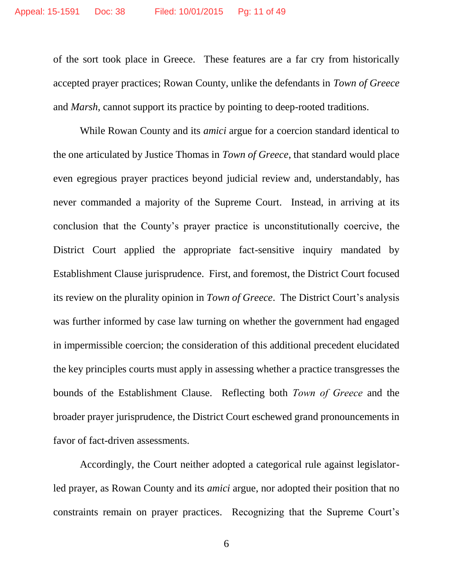of the sort took place in Greece. These features are a far cry from historically accepted prayer practices; Rowan County, unlike the defendants in *Town of Greece* and *Marsh*, cannot support its practice by pointing to deep-rooted traditions.

While Rowan County and its *amici* argue for a coercion standard identical to the one articulated by Justice Thomas in *Town of Greece*, that standard would place even egregious prayer practices beyond judicial review and, understandably, has never commanded a majority of the Supreme Court. Instead, in arriving at its conclusion that the County's prayer practice is unconstitutionally coercive, the District Court applied the appropriate fact-sensitive inquiry mandated by Establishment Clause jurisprudence. First, and foremost, the District Court focused its review on the plurality opinion in *Town of Greece*. The District Court's analysis was further informed by case law turning on whether the government had engaged in impermissible coercion; the consideration of this additional precedent elucidated the key principles courts must apply in assessing whether a practice transgresses the bounds of the Establishment Clause. Reflecting both *Town of Greece* and the broader prayer jurisprudence, the District Court eschewed grand pronouncements in favor of fact-driven assessments.

Accordingly, the Court neither adopted a categorical rule against legislatorled prayer, as Rowan County and its *amici* argue, nor adopted their position that no constraints remain on prayer practices. Recognizing that the Supreme Court's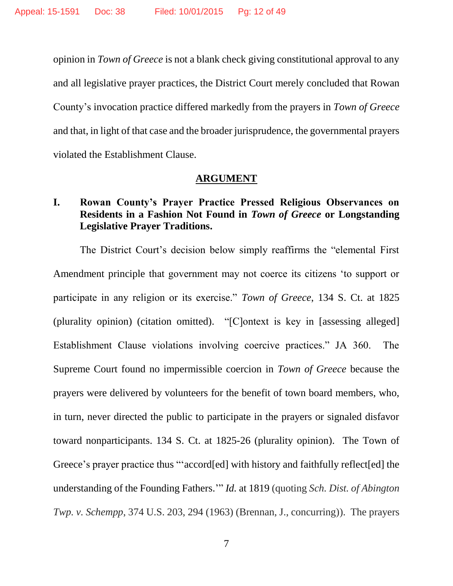opinion in *Town of Greece* is not a blank check giving constitutional approval to any and all legislative prayer practices, the District Court merely concluded that Rowan County's invocation practice differed markedly from the prayers in *Town of Greece*  and that, in light of that case and the broader jurisprudence, the governmental prayers violated the Establishment Clause.

#### **ARGUMENT**

# **I. Rowan County's Prayer Practice Pressed Religious Observances on Residents in a Fashion Not Found in** *Town of Greece* **or Longstanding Legislative Prayer Traditions.**

The District Court's decision below simply reaffirms the "elemental First Amendment principle that government may not coerce its citizens 'to support or participate in any religion or its exercise." *Town of Greece*, 134 S. Ct. at 1825 (plurality opinion) (citation omitted). "[C]ontext is key in [assessing alleged] Establishment Clause violations involving coercive practices." JA 360. The Supreme Court found no impermissible coercion in *Town of Greece* because the prayers were delivered by volunteers for the benefit of town board members, who, in turn, never directed the public to participate in the prayers or signaled disfavor toward nonparticipants. 134 S. Ct. at 1825-26 (plurality opinion). The Town of Greece's prayer practice thus "'accord[ed] with history and faithfully reflect[ed] the understanding of the Founding Fathers.'" *Id.* at 1819 (quoting *Sch. Dist. of Abington Twp. v. Schempp*, 374 U.S. 203, 294 (1963) (Brennan, J., concurring)). The prayers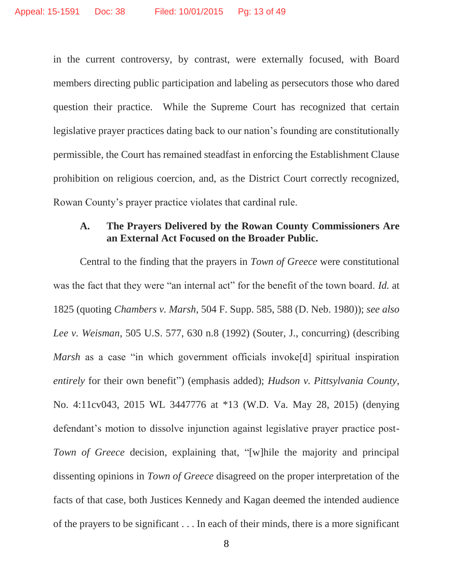in the current controversy, by contrast, were externally focused, with Board members directing public participation and labeling as persecutors those who dared question their practice. While the Supreme Court has recognized that certain legislative prayer practices dating back to our nation's founding are constitutionally permissible, the Court has remained steadfast in enforcing the Establishment Clause prohibition on religious coercion, and, as the District Court correctly recognized, Rowan County's prayer practice violates that cardinal rule.

# **A. The Prayers Delivered by the Rowan County Commissioners Are an External Act Focused on the Broader Public.**

Central to the finding that the prayers in *Town of Greece* were constitutional was the fact that they were "an internal act" for the benefit of the town board. *Id.* at 1825 (quoting *Chambers v. Marsh*, 504 F. Supp. 585, 588 (D. Neb. 1980)); *see also Lee v. Weisman*, 505 U.S. 577, 630 n.8 (1992) (Souter, J., concurring) (describing *Marsh* as a case "in which government officials invoke<sup>[d]</sup> spiritual inspiration *entirely* for their own benefit") (emphasis added); *Hudson v. Pittsylvania County*, No. 4:11cv043, 2015 WL 3447776 at \*13 (W.D. Va. May 28, 2015) (denying defendant's motion to dissolve injunction against legislative prayer practice post-*Town of Greece* decision, explaining that, "[w]hile the majority and principal dissenting opinions in *Town of Greece* disagreed on the proper interpretation of the facts of that case, both Justices Kennedy and Kagan deemed the intended audience of the prayers to be significant . . . In each of their minds, there is a more significant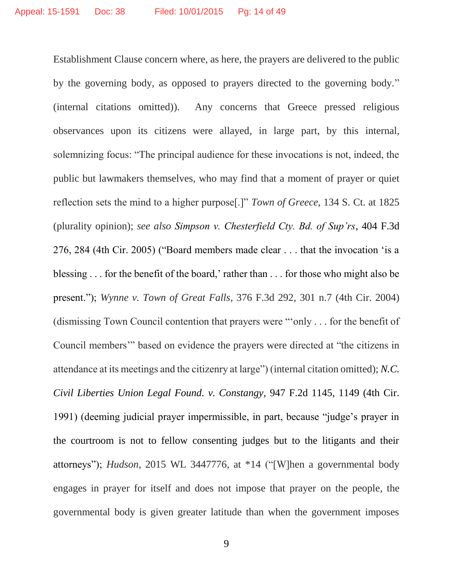Establishment Clause concern where, as here, the prayers are delivered to the public by the governing body, as opposed to prayers directed to the governing body." (internal citations omitted)). Any concerns that Greece pressed religious observances upon its citizens were allayed, in large part, by this internal, solemnizing focus: "The principal audience for these invocations is not, indeed, the public but lawmakers themselves, who may find that a moment of prayer or quiet reflection sets the mind to a higher purpose[.]" *Town of Greece*, 134 S. Ct. at 1825 (plurality opinion); *see also Simpson v. Chesterfield Cty. Bd. of Sup'rs*, 404 F.3d 276, 284 (4th Cir. 2005) ("Board members made clear . . . that the invocation 'is a blessing . . . for the benefit of the board,' rather than . . . for those who might also be present."); *Wynne v. Town of Great Falls*, 376 F.3d 292, 301 n.7 (4th Cir. 2004) (dismissing Town Council contention that prayers were "'only . . . for the benefit of Council members'" based on evidence the prayers were directed at "the citizens in attendance at its meetings and the citizenry at large") (internal citation omitted); *N.C. Civil Liberties Union Legal Found. v. Constangy*, 947 F.2d 1145, 1149 (4th Cir. 1991) (deeming judicial prayer impermissible, in part, because "judge's prayer in the courtroom is not to fellow consenting judges but to the litigants and their attorneys"); *Hudson*, 2015 WL 3447776, at \*14 ("[W]hen a governmental body engages in prayer for itself and does not impose that prayer on the people*,* the governmental body is given greater latitude than when the government imposes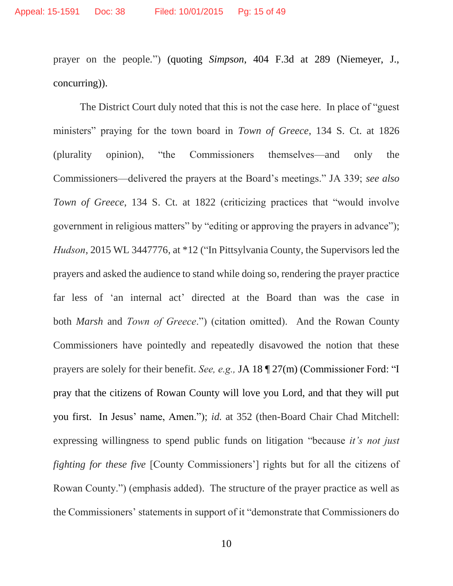prayer on the people*.*") (quoting *Simpson*, 404 F.3d at 289 (Niemeyer, J., concurring)).

The District Court duly noted that this is not the case here. In place of "guest ministers" praying for the town board in *Town of Greece*, 134 S. Ct. at 1826 (plurality opinion), "the Commissioners themselves—and only the Commissioners—delivered the prayers at the Board's meetings." JA 339; *see also Town of Greece*, 134 S. Ct. at 1822 (criticizing practices that "would involve government in religious matters" by "editing or approving the prayers in advance"); *Hudson*, 2015 WL 3447776, at \*12 ("In Pittsylvania County, the Supervisors led the prayers and asked the audience to stand while doing so, rendering the prayer practice far less of 'an internal act' directed at the Board than was the case in both *Marsh* and *Town of Greece*.") (citation omitted). And the Rowan County Commissioners have pointedly and repeatedly disavowed the notion that these prayers are solely for their benefit. *See, e.g.,* JA 18 ¶ 27(m) (Commissioner Ford: "I pray that the citizens of Rowan County will love you Lord, and that they will put you first. In Jesus' name, Amen."); *id.* at 352 (then-Board Chair Chad Mitchell: expressing willingness to spend public funds on litigation "because *it's not just fighting for these five* [County Commissioners'] rights but for all the citizens of Rowan County.") (emphasis added). The structure of the prayer practice as well as the Commissioners' statements in support of it "demonstrate that Commissioners do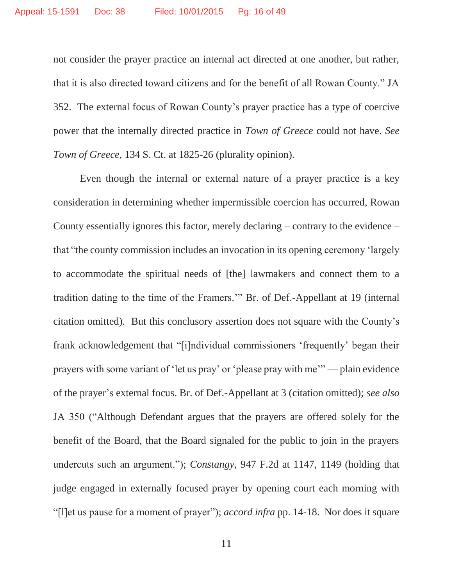not consider the prayer practice an internal act directed at one another, but rather, that it is also directed toward citizens and for the benefit of all Rowan County." JA 352. The external focus of Rowan County's prayer practice has a type of coercive power that the internally directed practice in *Town of Greece* could not have. *See Town of Greece*, 134 S. Ct. at 1825-26 (plurality opinion).

Even though the internal or external nature of a prayer practice is a key consideration in determining whether impermissible coercion has occurred, Rowan County essentially ignores this factor, merely declaring – contrary to the evidence – that "the county commission includes an invocation in its opening ceremony 'largely to accommodate the spiritual needs of [the] lawmakers and connect them to a tradition dating to the time of the Framers.'" Br. of Def.-Appellant at 19 (internal citation omitted). But this conclusory assertion does not square with the County's frank acknowledgement that "[i]ndividual commissioners 'frequently' began their prayers with some variant of 'let us pray' or 'please pray with me'" — plain evidence of the prayer's external focus. Br. of Def.-Appellant at 3 (citation omitted); *see also*  JA 350 ("Although Defendant argues that the prayers are offered solely for the benefit of the Board, that the Board signaled for the public to join in the prayers undercuts such an argument."); *Constangy*, 947 F.2d at 1147, 1149 (holding that judge engaged in externally focused prayer by opening court each morning with "[l]et us pause for a moment of prayer"); *accord infra* pp. 14-18. Nor does it square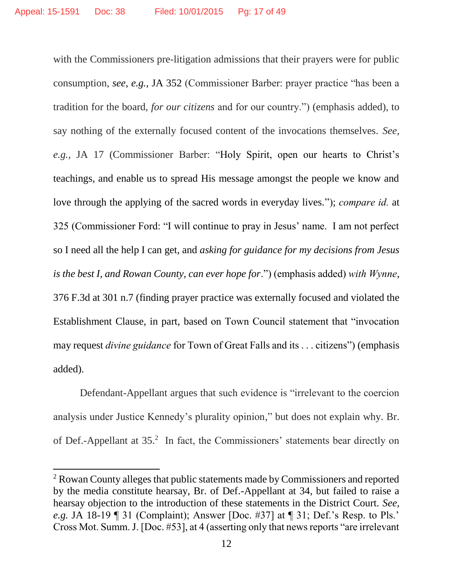with the Commissioners pre-litigation admissions that their prayers were for public consumption, *see, e.g.,* JA 352 (Commissioner Barber: prayer practice "has been a tradition for the board, *for our citizens* and for our country.") (emphasis added), to say nothing of the externally focused content of the invocations themselves. *See, e.g.,* JA 17 (Commissioner Barber: "Holy Spirit, open our hearts to Christ's teachings, and enable us to spread His message amongst the people we know and love through the applying of the sacred words in everyday lives."); *compare id.* at 325 (Commissioner Ford: "I will continue to pray in Jesus' name. I am not perfect so I need all the help I can get, and *asking for guidance for my decisions from Jesus is the best I, and Rowan County, can ever hope for*.") (emphasis added) *with Wynne*, 376 F.3d at 301 n.7 (finding prayer practice was externally focused and violated the Establishment Clause, in part, based on Town Council statement that "invocation may request *divine guidance* for Town of Great Falls and its . . . citizens") (emphasis added).

Defendant-Appellant argues that such evidence is "irrelevant to the coercion analysis under Justice Kennedy's plurality opinion," but does not explain why. Br. of Def.-Appellant at 35.<sup>2</sup> In fact, the Commissioners' statements bear directly on

 $\overline{\phantom{a}}$ 

<sup>&</sup>lt;sup>2</sup> Rowan County alleges that public statements made by Commissioners and reported by the media constitute hearsay, Br. of Def.-Appellant at 34, but failed to raise a hearsay objection to the introduction of these statements in the District Court. *See, e.g.* JA 18-19 ¶ 31 (Complaint); Answer [Doc. #37] at ¶ 31; Def.'s Resp. to Pls.' Cross Mot. Summ. J. [Doc. #53], at 4 (asserting only that news reports "are irrelevant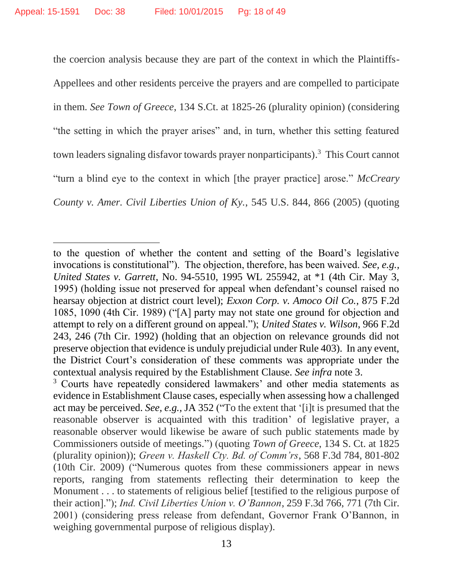$\overline{\phantom{a}}$ 

the coercion analysis because they are part of the context in which the Plaintiffs-Appellees and other residents perceive the prayers and are compelled to participate in them. *See Town of Greece*, 134 S.Ct. at 1825-26 (plurality opinion) (considering "the setting in which the prayer arises" and, in turn, whether this setting featured town leaders signaling disfavor towards prayer nonparticipants). 3 This Court cannot "turn a blind eye to the context in which [the prayer practice] arose." *McCreary County v. Amer. Civil Liberties Union of Ky.*, 545 U.S. 844, 866 (2005) (quoting

to the question of whether the content and setting of the Board's legislative invocations is constitutional"). The objection, therefore, has been waived. *See, e.g., United States v. Garrett*, No. 94-5510, 1995 WL 255942, at \*1 (4th Cir. May 3, 1995) (holding issue not preserved for appeal when defendant's counsel raised no hearsay objection at district court level); *Exxon Corp. v. Amoco Oil Co.*, 875 F.2d 1085, 1090 (4th Cir. 1989) ("[A] party may not state one ground for objection and attempt to rely on a different ground on appeal."); *United States v. Wilson*, 966 F.2d 243, 246 (7th Cir. 1992) (holding that an objection on relevance grounds did not preserve objection that evidence is unduly prejudicial under Rule 403). In any event, the District Court's consideration of these comments was appropriate under the contextual analysis required by the Establishment Clause. *See infra* note 3.

<sup>&</sup>lt;sup>3</sup> Courts have repeatedly considered lawmakers' and other media statements as evidence in Establishment Clause cases, especially when assessing how a challenged act may be perceived. *See, e.g.,* JA 352 ("To the extent that '[i]t is presumed that the reasonable observer is acquainted with this tradition' of legislative prayer, a reasonable observer would likewise be aware of such public statements made by Commissioners outside of meetings.") (quoting *Town of Greece*, 134 S. Ct. at 1825 (plurality opinion)); *Green v. Haskell Cty. Bd. of Comm'rs*, 568 F.3d 784, 801-802 (10th Cir. 2009) ("Numerous quotes from these commissioners appear in news reports, ranging from statements reflecting their determination to keep the Monument . . . to statements of religious belief [testified to the religious purpose of their action]."); *Ind. Civil Liberties Union v. O'Bannon*, 259 F.3d 766, 771 (7th Cir. 2001) (considering press release from defendant, Governor Frank O'Bannon, in weighing governmental purpose of religious display).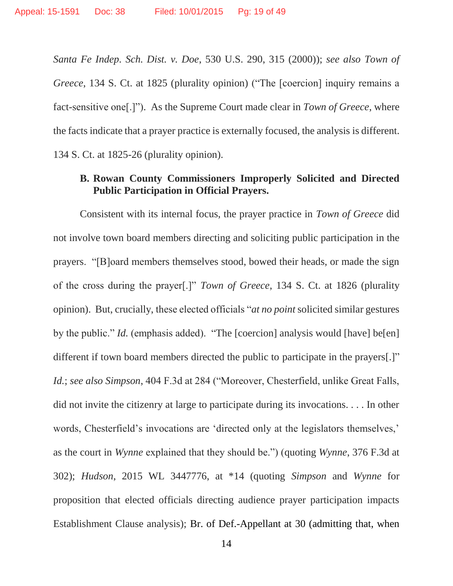*Santa Fe Indep. Sch. Dist. v. Doe*, 530 U.S. 290, 315 (2000)); *see also Town of Greece*, 134 S. Ct. at 1825 (plurality opinion) ("The [coercion] inquiry remains a fact-sensitive one[.]"). As the Supreme Court made clear in *Town of Greece*, where the facts indicate that a prayer practice is externally focused, the analysis is different. 134 S. Ct. at 1825-26 (plurality opinion).

# **B. Rowan County Commissioners Improperly Solicited and Directed Public Participation in Official Prayers.**

Consistent with its internal focus, the prayer practice in *Town of Greece* did not involve town board members directing and soliciting public participation in the prayers. "[B]oard members themselves stood, bowed their heads, or made the sign of the cross during the prayer[.]" *Town of Greece*, 134 S. Ct. at 1826 (plurality opinion). But, crucially, these elected officials "*at no point* solicited similar gestures by the public." *Id.* (emphasis added). "The [coercion] analysis would [have] be[en] different if town board members directed the public to participate in the prayers[.]" *Id.*; *see also Simpson*, 404 F.3d at 284 ("Moreover, Chesterfield, unlike Great Falls, did not invite the citizenry at large to participate during its invocations. . . . In other words, Chesterfield's invocations are 'directed only at the legislators themselves,' as the court in *Wynne* explained that they should be.") (quoting *Wynne*, 376 F.3d at 302); *Hudson*, 2015 WL 3447776, at \*14 (quoting *Simpson* and *Wynne* for proposition that elected officials directing audience prayer participation impacts Establishment Clause analysis); Br. of Def.-Appellant at 30 (admitting that, when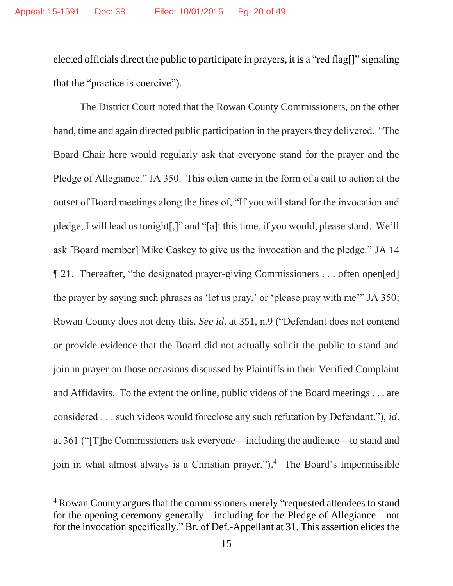elected officials direct the public to participate in prayers, it is a "red flag[]" signaling that the "practice is coercive").

The District Court noted that the Rowan County Commissioners, on the other hand, time and again directed public participation in the prayers they delivered. "The Board Chair here would regularly ask that everyone stand for the prayer and the Pledge of Allegiance." JA 350. This often came in the form of a call to action at the outset of Board meetings along the lines of, "If you will stand for the invocation and pledge, I will lead us tonight[,]" and "[a]t this time, if you would, please stand. We'll ask [Board member] Mike Caskey to give us the invocation and the pledge." JA 14 ¶ 21. Thereafter, "the designated prayer-giving Commissioners . . . often open[ed] the prayer by saying such phrases as 'let us pray,' or 'please pray with me'" JA 350; Rowan County does not deny this. *See id*. at 351, n.9 ("Defendant does not contend or provide evidence that the Board did not actually solicit the public to stand and join in prayer on those occasions discussed by Plaintiffs in their Verified Complaint and Affidavits. To the extent the online, public videos of the Board meetings . . . are considered . . . such videos would foreclose any such refutation by Defendant."), *id*. at 361 ("[T]he Commissioners ask everyone—including the audience—to stand and join in what almost always is a Christian prayer."). 4 The Board's impermissible

 $\overline{\phantom{a}}$ 

<sup>4</sup> Rowan County argues that the commissioners merely "requested attendees to stand for the opening ceremony generally—including for the Pledge of Allegiance—not for the invocation specifically." Br. of Def.-Appellant at 31. This assertion elides the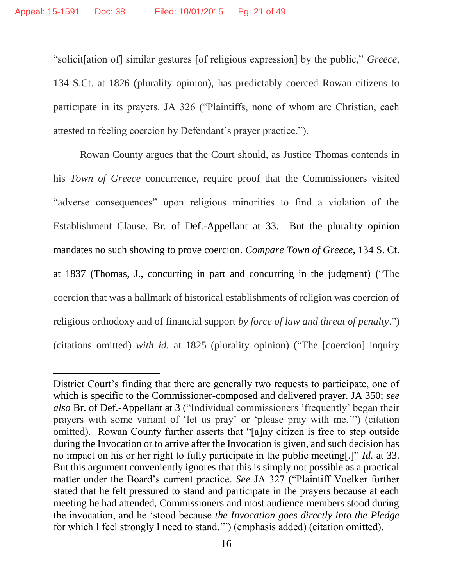$\overline{a}$ 

"solicit[ation of] similar gestures [of religious expression] by the public," *Greece*, 134 S.Ct. at 1826 (plurality opinion), has predictably coerced Rowan citizens to participate in its prayers. JA 326 ("Plaintiffs, none of whom are Christian, each attested to feeling coercion by Defendant's prayer practice.").

Rowan County argues that the Court should, as Justice Thomas contends in his *Town of Greece* concurrence, require proof that the Commissioners visited "adverse consequences" upon religious minorities to find a violation of the Establishment Clause. Br. of Def.-Appellant at 33. But the plurality opinion mandates no such showing to prove coercion. *Compare Town of Greece*, 134 S. Ct. at 1837 (Thomas, J., concurring in part and concurring in the judgment) ("The coercion that was a hallmark of historical establishments of religion was coercion of religious orthodoxy and of financial support *by force of law and threat of penalty*.") (citations omitted) *with id.* at 1825 (plurality opinion) ("The [coercion] inquiry

District Court's finding that there are generally two requests to participate, one of which is specific to the Commissioner-composed and delivered prayer. JA 350; *see also* Br. of Def.-Appellant at 3 ("Individual commissioners 'frequently' began their prayers with some variant of 'let us pray' or 'please pray with me.'") (citation omitted). Rowan County further asserts that "[a]ny citizen is free to step outside during the Invocation or to arrive after the Invocation is given, and such decision has no impact on his or her right to fully participate in the public meeting[.]" *Id.* at 33. But this argument conveniently ignores that this is simply not possible as a practical matter under the Board's current practice. *See* JA 327 ("Plaintiff Voelker further stated that he felt pressured to stand and participate in the prayers because at each meeting he had attended, Commissioners and most audience members stood during the invocation, and he 'stood because *the Invocation goes directly into the Pledge* for which I feel strongly I need to stand.'") (emphasis added) (citation omitted).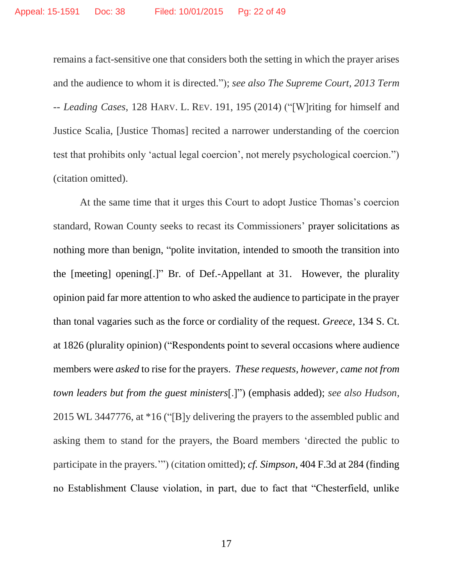remains a fact-sensitive one that considers both the setting in which the prayer arises and the audience to whom it is directed."); *see also The Supreme Court, 2013 Term -- Leading Cases*, 128 HARV. L. REV. 191, 195 (2014) ("[W]riting for himself and Justice Scalia, [Justice Thomas] recited a narrower understanding of the coercion test that prohibits only 'actual legal coercion', not merely psychological coercion.") (citation omitted).

At the same time that it urges this Court to adopt Justice Thomas's coercion standard, Rowan County seeks to recast its Commissioners' prayer solicitations as nothing more than benign, "polite invitation, intended to smooth the transition into the [meeting] opening[.]" Br. of Def.-Appellant at 31. However, the plurality opinion paid far more attention to who asked the audience to participate in the prayer than tonal vagaries such as the force or cordiality of the request. *Greece*, 134 S. Ct. at 1826 (plurality opinion) ("Respondents point to several occasions where audience members were *asked* to rise for the prayers. *These requests, however, came not from town leaders but from the guest ministers*[.]") (emphasis added); *see also Hudson*, 2015 WL 3447776, at \*16 ("[B]y delivering the prayers to the assembled public and asking them to stand for the prayers, the Board members 'directed the public to participate in the prayers.'") (citation omitted); *cf. Simpson*, 404 F.3d at 284 (finding no Establishment Clause violation, in part, due to fact that "Chesterfield, unlike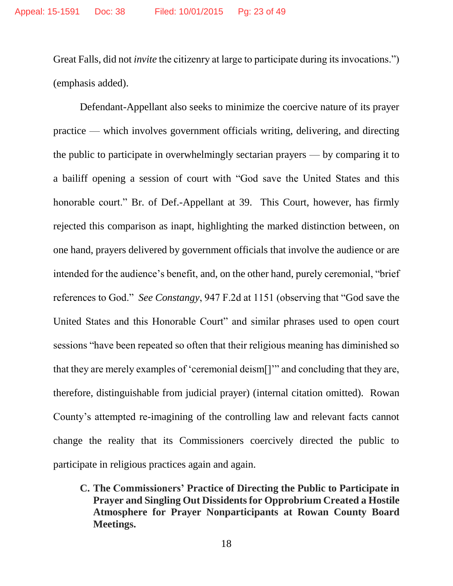Great Falls, did not *invite* the citizenry at large to participate during its invocations.") (emphasis added).

Defendant-Appellant also seeks to minimize the coercive nature of its prayer practice — which involves government officials writing, delivering, and directing the public to participate in overwhelmingly sectarian prayers — by comparing it to a bailiff opening a session of court with "God save the United States and this honorable court." Br. of Def.-Appellant at 39.This Court, however, has firmly rejected this comparison as inapt, highlighting the marked distinction between, on one hand, prayers delivered by government officials that involve the audience or are intended for the audience's benefit, and, on the other hand, purely ceremonial, "brief references to God." *See Constangy*, 947 F.2d at 1151 (observing that "God save the United States and this Honorable Court" and similar phrases used to open court sessions "have been repeated so often that their religious meaning has diminished so that they are merely examples of 'ceremonial deism[]'" and concluding that they are, therefore, distinguishable from judicial prayer) (internal citation omitted). Rowan County's attempted re-imagining of the controlling law and relevant facts cannot change the reality that its Commissioners coercively directed the public to participate in religious practices again and again.

**C. The Commissioners' Practice of Directing the Public to Participate in Prayer and Singling Out Dissidents for Opprobrium Created a Hostile Atmosphere for Prayer Nonparticipants at Rowan County Board Meetings.**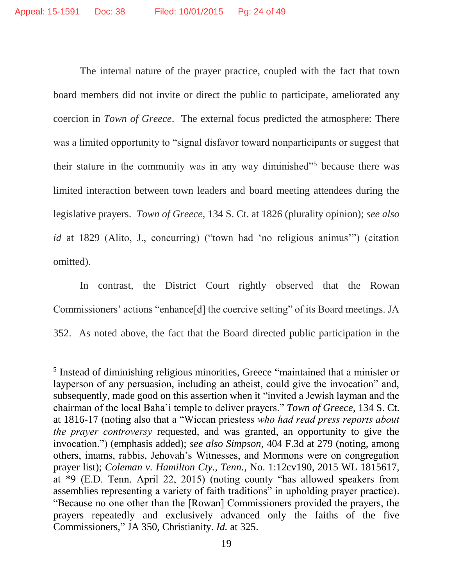l

The internal nature of the prayer practice, coupled with the fact that town board members did not invite or direct the public to participate, ameliorated any coercion in *Town of Greece*. The external focus predicted the atmosphere: There was a limited opportunity to "signal disfavor toward nonparticipants or suggest that their stature in the community was in any way diminished"<sup>5</sup> because there was limited interaction between town leaders and board meeting attendees during the legislative prayers. *Town of Greece*, 134 S. Ct. at 1826 (plurality opinion); *see also id* at 1829 (Alito, J., concurring) ("town had 'no religious animus'") (citation omitted).

In contrast, the District Court rightly observed that the Rowan Commissioners' actions "enhance[d] the coercive setting" of its Board meetings. JA 352. As noted above, the fact that the Board directed public participation in the

<sup>&</sup>lt;sup>5</sup> Instead of diminishing religious minorities, Greece "maintained that a minister or layperson of any persuasion, including an atheist, could give the invocation" and, subsequently, made good on this assertion when it "invited a Jewish layman and the chairman of the local Baha'i temple to deliver prayers." *Town of Greece*, 134 S. Ct. at 1816-17 (noting also that a "Wiccan priestess *who had read press reports about the prayer controversy* requested, and was granted, an opportunity to give the invocation.") (emphasis added); *see also Simpson*, 404 F.3d at 279 (noting, among others, imams, rabbis, Jehovah's Witnesses, and Mormons were on congregation prayer list); *Coleman v. Hamilton Cty., Tenn.*, No. 1:12cv190, 2015 WL 1815617, at \*9 (E.D. Tenn. April 22, 2015) (noting county "has allowed speakers from assemblies representing a variety of faith traditions" in upholding prayer practice). "Because no one other than the [Rowan] Commissioners provided the prayers, the prayers repeatedly and exclusively advanced only the faiths of the five Commissioners," JA 350, Christianity. *Id.* at 325.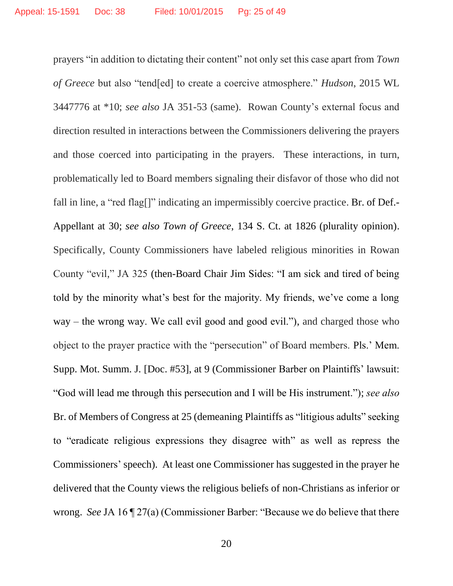prayers "in addition to dictating their content" not only set this case apart from *Town of Greece* but also "tend[ed] to create a coercive atmosphere." *Hudson*, 2015 WL 3447776 at \*10; *see also* JA 351-53 (same). Rowan County's external focus and direction resulted in interactions between the Commissioners delivering the prayers and those coerced into participating in the prayers. These interactions, in turn, problematically led to Board members signaling their disfavor of those who did not fall in line, a "red flag[]" indicating an impermissibly coercive practice. Br. of Def.-Appellant at 30; *see also Town of Greece*, 134 S. Ct. at 1826 (plurality opinion). Specifically, County Commissioners have labeled religious minorities in Rowan County "evil," JA 325 (then-Board Chair Jim Sides: "I am sick and tired of being told by the minority what's best for the majority. My friends, we've come a long way – the wrong way. We call evil good and good evil."), and charged those who object to the prayer practice with the "persecution" of Board members. Pls.' Mem. Supp. Mot. Summ. J. [Doc. #53], at 9 (Commissioner Barber on Plaintiffs' lawsuit: "God will lead me through this persecution and I will be His instrument."); *see also*  Br. of Members of Congress at 25 (demeaning Plaintiffs as "litigious adults" seeking to "eradicate religious expressions they disagree with" as well as repress the Commissioners' speech). At least one Commissioner has suggested in the prayer he delivered that the County views the religious beliefs of non-Christians as inferior or wrong. *See* JA 16 ¶ 27(a) (Commissioner Barber: "Because we do believe that there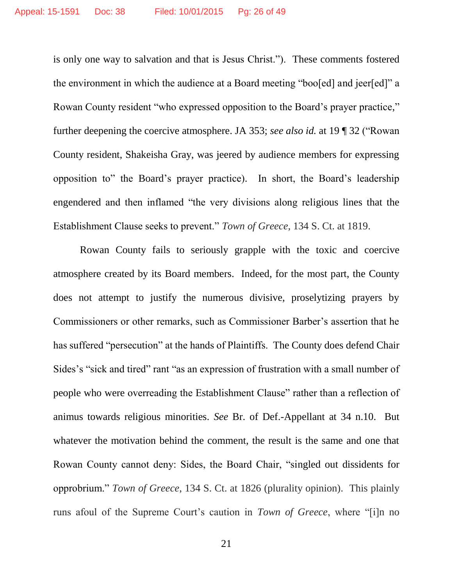is only one way to salvation and that is Jesus Christ."). These comments fostered the environment in which the audience at a Board meeting "boo[ed] and jeer[ed]" a Rowan County resident "who expressed opposition to the Board's prayer practice," further deepening the coercive atmosphere. JA 353; *see also id.* at 19 ¶ 32 ("Rowan County resident, Shakeisha Gray, was jeered by audience members for expressing opposition to" the Board's prayer practice). In short, the Board's leadership engendered and then inflamed "the very divisions along religious lines that the Establishment Clause seeks to prevent." *Town of Greece*, 134 S. Ct. at 1819.

Rowan County fails to seriously grapple with the toxic and coercive atmosphere created by its Board members. Indeed, for the most part, the County does not attempt to justify the numerous divisive, proselytizing prayers by Commissioners or other remarks, such as Commissioner Barber's assertion that he has suffered "persecution" at the hands of Plaintiffs. The County does defend Chair Sides's "sick and tired" rant "as an expression of frustration with a small number of people who were overreading the Establishment Clause" rather than a reflection of animus towards religious minorities. *See* Br. of Def.-Appellant at 34 n.10. But whatever the motivation behind the comment, the result is the same and one that Rowan County cannot deny: Sides, the Board Chair, "singled out dissidents for opprobrium." *Town of Greece*, 134 S. Ct. at 1826 (plurality opinion). This plainly runs afoul of the Supreme Court's caution in *Town of Greece*, where "[i]n no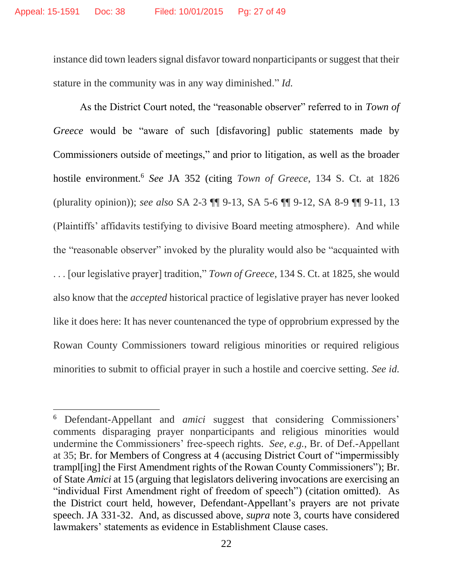$\overline{a}$ 

instance did town leaders signal disfavor toward nonparticipants or suggest that their stature in the community was in any way diminished." *Id.*

As the District Court noted, the "reasonable observer" referred to in *Town of Greece* would be "aware of such [disfavoring] public statements made by Commissioners outside of meetings," and prior to litigation, as well as the broader hostile environment.<sup>6</sup> *See* JA 352 (citing *Town of Greece*, 134 S. Ct. at 1826 (plurality opinion)); *see also* SA 2-3 ¶¶ 9-13, SA 5-6 ¶¶ 9-12, SA 8-9 ¶¶ 9-11, 13 (Plaintiffs' affidavits testifying to divisive Board meeting atmosphere). And while the "reasonable observer" invoked by the plurality would also be "acquainted with . . . [our legislative prayer] tradition," *Town of Greece*, 134 S. Ct. at 1825, she would also know that the *accepted* historical practice of legislative prayer has never looked like it does here: It has never countenanced the type of opprobrium expressed by the Rowan County Commissioners toward religious minorities or required religious minorities to submit to official prayer in such a hostile and coercive setting. *See id.*

<sup>6</sup> Defendant-Appellant and *amici* suggest that considering Commissioners' comments disparaging prayer nonparticipants and religious minorities would undermine the Commissioners' free-speech rights. *See, e.g.*, Br. of Def.-Appellant at 35; Br. for Members of Congress at 4 (accusing District Court of "impermissibly trampl[ing] the First Amendment rights of the Rowan County Commissioners"); Br. of State *Amici* at 15 (arguing that legislators delivering invocations are exercising an "individual First Amendment right of freedom of speech") (citation omitted). As the District court held, however, Defendant-Appellant's prayers are not private speech. JA 331-32. And, as discussed above, *supra* note 3, courts have considered lawmakers' statements as evidence in Establishment Clause cases.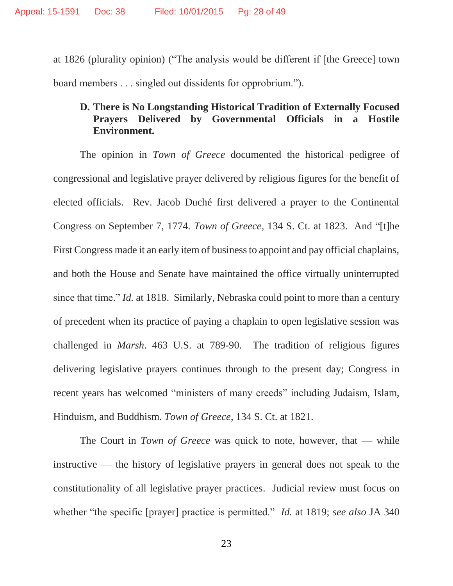at 1826 (plurality opinion) ("The analysis would be different if [the Greece] town board members . . . singled out dissidents for opprobrium.").

# **D. There is No Longstanding Historical Tradition of Externally Focused Prayers Delivered by Governmental Officials in a Hostile Environment.**

The opinion in *Town of Greece* documented the historical pedigree of congressional and legislative prayer delivered by religious figures for the benefit of elected officials. Rev. Jacob Duché first delivered a prayer to the Continental Congress on September 7, 1774. *Town of Greece*, 134 S. Ct. at 1823. And "[t]he First Congress made it an early item of business to appoint and pay official chaplains, and both the House and Senate have maintained the office virtually uninterrupted since that time." *Id.* at 1818. Similarly, Nebraska could point to more than a century of precedent when its practice of paying a chaplain to open legislative session was challenged in *Marsh*. 463 U.S. at 789-90. The tradition of religious figures delivering legislative prayers continues through to the present day; Congress in recent years has welcomed "ministers of many creeds" including Judaism, Islam, Hinduism, and Buddhism. *Town of Greece*, 134 S. Ct. at 1821.

The Court in *Town of Greece* was quick to note, however, that — while instructive — the history of legislative prayers in general does not speak to the constitutionality of all legislative prayer practices. Judicial review must focus on whether "the specific [prayer] practice is permitted." *Id.* at 1819; *see also* JA 340

23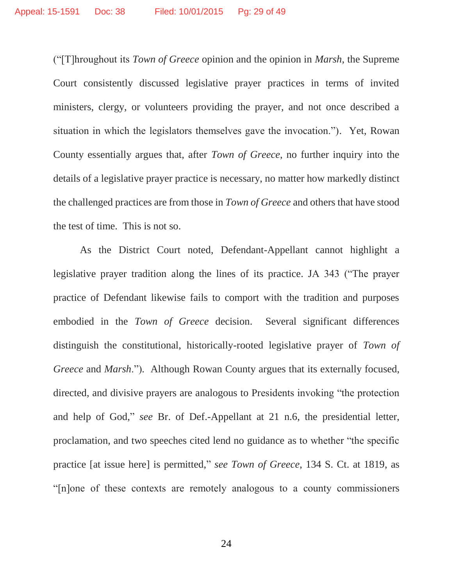("[T]hroughout its *Town of Greece* opinion and the opinion in *Marsh*, the Supreme Court consistently discussed legislative prayer practices in terms of invited ministers, clergy, or volunteers providing the prayer, and not once described a situation in which the legislators themselves gave the invocation."). Yet, Rowan County essentially argues that, after *Town of Greece*, no further inquiry into the details of a legislative prayer practice is necessary, no matter how markedly distinct the challenged practices are from those in *Town of Greece* and others that have stood the test of time. This is not so.

As the District Court noted, Defendant-Appellant cannot highlight a legislative prayer tradition along the lines of its practice. JA 343 ("The prayer practice of Defendant likewise fails to comport with the tradition and purposes embodied in the *Town of Greece* decision. Several significant differences distinguish the constitutional, historically-rooted legislative prayer of *Town of Greece* and *Marsh*."). Although Rowan County argues that its externally focused, directed, and divisive prayers are analogous to Presidents invoking "the protection and help of God," *see* Br. of Def.-Appellant at 21 n.6, the presidential letter, proclamation, and two speeches cited lend no guidance as to whether "the specific practice [at issue here] is permitted," *see Town of Greece*, 134 S. Ct. at 1819, as "[n]one of these contexts are remotely analogous to a county commissioners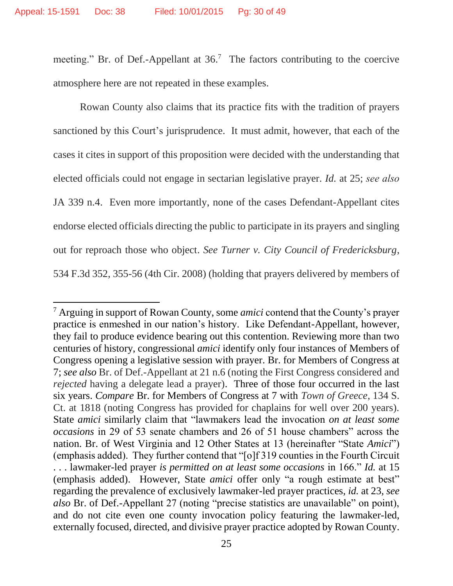$\overline{\phantom{a}}$ 

meeting." Br. of Def.-Appellant at  $36$ .<sup>7</sup> The factors contributing to the coercive atmosphere here are not repeated in these examples.

Rowan County also claims that its practice fits with the tradition of prayers sanctioned by this Court's jurisprudence. It must admit, however, that each of the cases it cites in support of this proposition were decided with the understanding that elected officials could not engage in sectarian legislative prayer. *Id.* at 25; *see also*  JA 339 n.4. Even more importantly, none of the cases Defendant-Appellant cites endorse elected officials directing the public to participate in its prayers and singling out for reproach those who object. *See Turner v. City Council of Fredericksburg*, 534 F.3d 352, 355-56 (4th Cir. 2008) (holding that prayers delivered by members of

<sup>7</sup> Arguing in support of Rowan County, some *amici* contend that the County's prayer practice is enmeshed in our nation's history. Like Defendant-Appellant, however, they fail to produce evidence bearing out this contention. Reviewing more than two centuries of history, congressional *amici* identify only four instances of Members of Congress opening a legislative session with prayer. Br. for Members of Congress at 7; *see also* Br. of Def.-Appellant at 21 n.6 (noting the First Congress considered and *rejected* having a delegate lead a prayer). Three of those four occurred in the last six years. *Compare* Br. for Members of Congress at 7 with *Town of Greece*, 134 S. Ct. at 1818 (noting Congress has provided for chaplains for well over 200 years). State *amici* similarly claim that "lawmakers lead the invocation *on at least some occasions* in 29 of 53 senate chambers and 26 of 51 house chambers" across the nation. Br. of West Virginia and 12 Other States at 13 (hereinafter "State *Amici*") (emphasis added). They further contend that "[o]f 319 counties in the Fourth Circuit . . . lawmaker-led prayer *is permitted on at least some occasions* in 166." *Id.* at 15 (emphasis added). However, State *amici* offer only "a rough estimate at best" regarding the prevalence of exclusively lawmaker-led prayer practices, *id.* at 23, *see also* Br. of Def.-Appellant 27 (noting "precise statistics are unavailable" on point), and do not cite even one county invocation policy featuring the lawmaker-led, externally focused, directed, and divisive prayer practice adopted by Rowan County.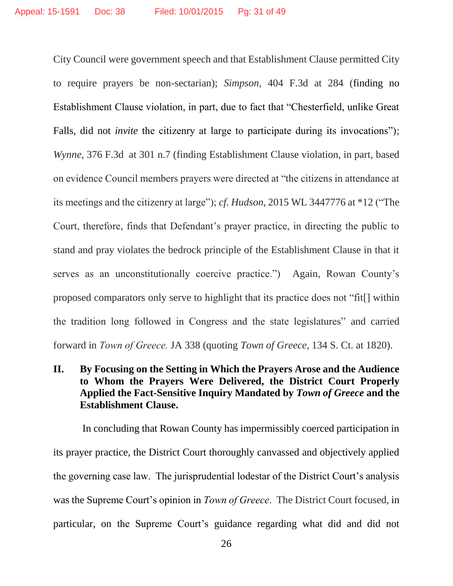City Council were government speech and that Establishment Clause permitted City to require prayers be non-sectarian); *Simpson*, 404 F.3d at 284 (finding no Establishment Clause violation, in part, due to fact that "Chesterfield, unlike Great Falls, did not *invite* the citizenry at large to participate during its invocations"); *Wynne*, 376 F.3d at 301 n.7 (finding Establishment Clause violation, in part, based on evidence Council members prayers were directed at "the citizens in attendance at its meetings and the citizenry at large"); *cf. Hudson*, 2015 WL 3447776 at \*12 ("The Court, therefore, finds that Defendant's prayer practice, in directing the public to stand and pray violates the bedrock principle of the Establishment Clause in that it serves as an unconstitutionally coercive practice.") Again, Rowan County's proposed comparators only serve to highlight that its practice does not "fit[] within the tradition long followed in Congress and the state legislatures" and carried forward in *Town of Greece.* JA 338 (quoting *Town of Greece*, 134 S. Ct. at 1820).

# **II. By Focusing on the Setting in Which the Prayers Arose and the Audience to Whom the Prayers Were Delivered, the District Court Properly Applied the Fact-Sensitive Inquiry Mandated by** *Town of Greece* **and the Establishment Clause.**

In concluding that Rowan County has impermissibly coerced participation in its prayer practice, the District Court thoroughly canvassed and objectively applied the governing case law. The jurisprudential lodestar of the District Court's analysis was the Supreme Court's opinion in *Town of Greece*. The District Court focused, in particular, on the Supreme Court's guidance regarding what did and did not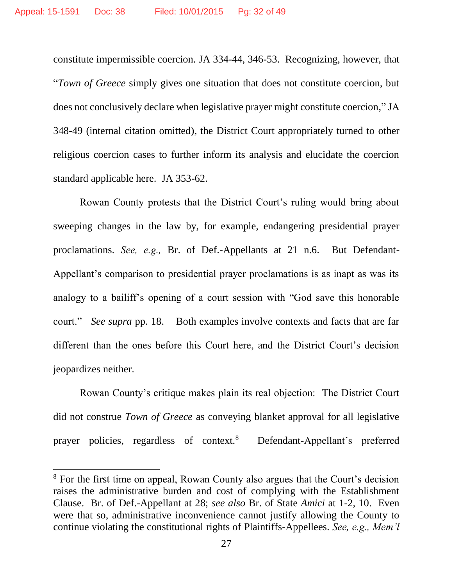constitute impermissible coercion. JA 334-44, 346-53. Recognizing, however, that "*Town of Greece* simply gives one situation that does not constitute coercion, but does not conclusively declare when legislative prayer might constitute coercion," JA 348-49 (internal citation omitted), the District Court appropriately turned to other religious coercion cases to further inform its analysis and elucidate the coercion standard applicable here. JA 353-62.

Rowan County protests that the District Court's ruling would bring about sweeping changes in the law by, for example, endangering presidential prayer proclamations. *See, e.g.,* Br. of Def.-Appellants at 21 n.6. But Defendant-Appellant's comparison to presidential prayer proclamations is as inapt as was its analogy to a bailiff's opening of a court session with "God save this honorable court." *See supra* pp. 18. Both examples involve contexts and facts that are far different than the ones before this Court here, and the District Court's decision jeopardizes neither.

Rowan County's critique makes plain its real objection: The District Court did not construe *Town of Greece* as conveying blanket approval for all legislative prayer policies, regardless of context.<sup>8</sup> Defendant-Appellant's preferred

 $\overline{\phantom{a}}$ 

<sup>8</sup> For the first time on appeal, Rowan County also argues that the Court's decision raises the administrative burden and cost of complying with the Establishment Clause. Br. of Def.-Appellant at 28; *see also* Br. of State *Amici* at 1-2, 10. Even were that so, administrative inconvenience cannot justify allowing the County to continue violating the constitutional rights of Plaintiffs-Appellees. *See, e.g., Mem'l*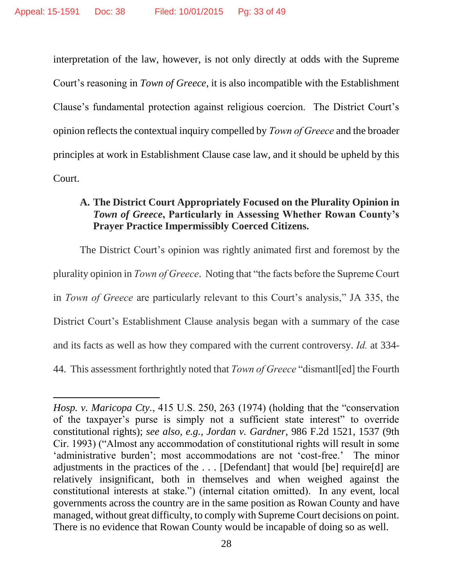$\overline{\phantom{a}}$ 

interpretation of the law, however, is not only directly at odds with the Supreme Court's reasoning in *Town of Greece*, it is also incompatible with the Establishment Clause's fundamental protection against religious coercion. The District Court's opinion reflects the contextual inquiry compelled by *Town of Greece* and the broader principles at work in Establishment Clause case law, and it should be upheld by this Court.

# **A. The District Court Appropriately Focused on the Plurality Opinion in**  *Town of Greece***, Particularly in Assessing Whether Rowan County's Prayer Practice Impermissibly Coerced Citizens.**

The District Court's opinion was rightly animated first and foremost by the plurality opinion in *Town of Greece*. Noting that "the facts before the Supreme Court in *Town of Greece* are particularly relevant to this Court's analysis," JA 335, the District Court's Establishment Clause analysis began with a summary of the case and its facts as well as how they compared with the current controversy. *Id.* at 334- 44. This assessment forthrightly noted that *Town of Greece* "dismantl[ed] the Fourth

*Hosp. v. Maricopa Cty.*, 415 U.S. 250, 263 (1974) (holding that the "conservation of the taxpayer's purse is simply not a sufficient state interest" to override constitutional rights); *see also, e.g., Jordan v. Gardner*, 986 F.2d 1521, 1537 (9th Cir. 1993) ("Almost any accommodation of constitutional rights will result in some 'administrative burden'; most accommodations are not 'cost-free.' The minor adjustments in the practices of the . . . [Defendant] that would [be] require[d] are relatively insignificant, both in themselves and when weighed against the constitutional interests at stake.") (internal citation omitted). In any event, local governments across the country are in the same position as Rowan County and have managed, without great difficulty, to comply with Supreme Court decisions on point. There is no evidence that Rowan County would be incapable of doing so as well.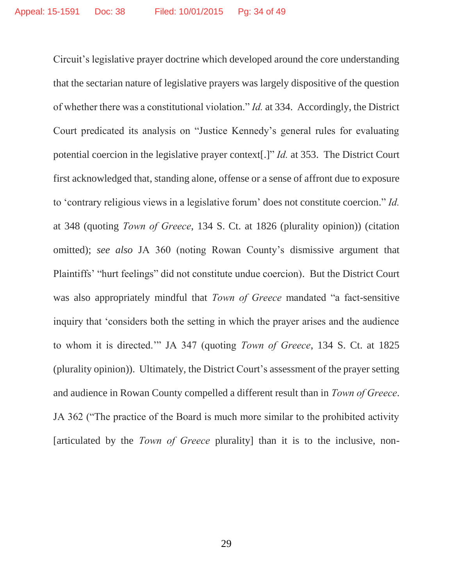Circuit's legislative prayer doctrine which developed around the core understanding that the sectarian nature of legislative prayers was largely dispositive of the question of whether there was a constitutional violation." *Id.* at 334. Accordingly, the District Court predicated its analysis on "Justice Kennedy's general rules for evaluating potential coercion in the legislative prayer context[.]" *Id.* at 353. The District Court first acknowledged that, standing alone, offense or a sense of affront due to exposure to 'contrary religious views in a legislative forum' does not constitute coercion." *Id.*  at 348 (quoting *Town of Greece*, 134 S. Ct. at 1826 (plurality opinion)) (citation omitted); *see also* JA 360 (noting Rowan County's dismissive argument that Plaintiffs' "hurt feelings" did not constitute undue coercion). But the District Court was also appropriately mindful that *Town of Greece* mandated "a fact-sensitive inquiry that 'considers both the setting in which the prayer arises and the audience to whom it is directed.'" JA 347 (quoting *Town of Greece*, 134 S. Ct. at 1825 (plurality opinion)). Ultimately, the District Court's assessment of the prayer setting and audience in Rowan County compelled a different result than in *Town of Greece*. JA 362 ("The practice of the Board is much more similar to the prohibited activity [articulated by the *Town of Greece* plurality] than it is to the inclusive, non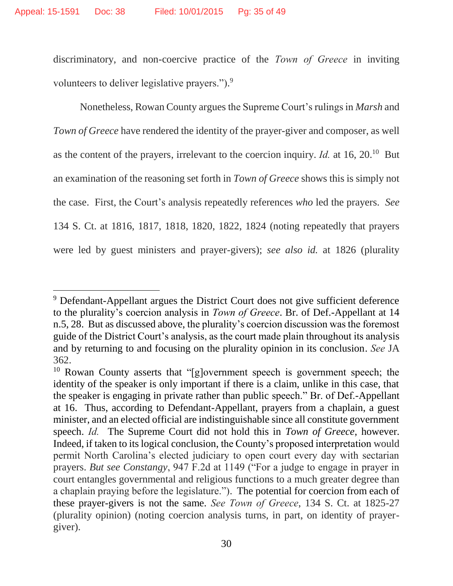$\overline{\phantom{a}}$ 

discriminatory, and non-coercive practice of the *Town of Greece* in inviting volunteers to deliver legislative prayers.").<sup>9</sup>

Nonetheless, Rowan County argues the Supreme Court's rulings in *Marsh* and *Town of Greece* have rendered the identity of the prayer-giver and composer, as well as the content of the prayers, irrelevant to the coercion inquiry. *Id.* at 16, 20.<sup>10</sup> But an examination of the reasoning set forth in *Town of Greece* shows this is simply not the case. First, the Court's analysis repeatedly references *who* led the prayers. *See* 134 S. Ct. at 1816, 1817, 1818, 1820, 1822, 1824 (noting repeatedly that prayers were led by guest ministers and prayer-givers); *see also id.* at 1826 (plurality

<sup>&</sup>lt;sup>9</sup> Defendant-Appellant argues the District Court does not give sufficient deference to the plurality's coercion analysis in *Town of Greece*. Br. of Def.-Appellant at 14 n.5, 28. But as discussed above, the plurality's coercion discussion was the foremost guide of the District Court's analysis, as the court made plain throughout its analysis and by returning to and focusing on the plurality opinion in its conclusion. *See* JA 362.

<sup>10</sup> Rowan County asserts that "[g]overnment speech is government speech; the identity of the speaker is only important if there is a claim, unlike in this case, that the speaker is engaging in private rather than public speech." Br. of Def.-Appellant at 16. Thus, according to Defendant-Appellant, prayers from a chaplain, a guest minister, and an elected official are indistinguishable since all constitute government speech. *Id.* The Supreme Court did not hold this in *Town of Greece*, however. Indeed, if taken to its logical conclusion, the County's proposed interpretation would permit North Carolina's elected judiciary to open court every day with sectarian prayers. *But see Constangy*, 947 F.2d at 1149 ("For a judge to engage in prayer in court entangles governmental and religious functions to a much greater degree than a chaplain praying before the legislature."). The potential for coercion from each of these prayer-givers is not the same. *See Town of Greece*, 134 S. Ct. at 1825-27 (plurality opinion) (noting coercion analysis turns, in part, on identity of prayergiver).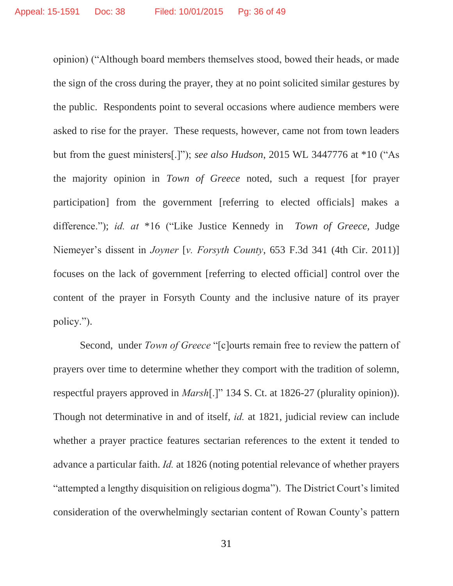opinion) ("Although board members themselves stood, bowed their heads, or made the sign of the cross during the prayer, they at no point solicited similar gestures by the public. Respondents point to several occasions where audience members were asked to rise for the prayer. These requests, however, came not from town leaders but from the guest ministers[.]"); *see also Hudson*, 2015 WL 3447776 at \*10 ("As the majority opinion in *Town of Greece* noted, such a request [for prayer participation] from the government [referring to elected officials] makes a difference."); *id. at* \*16 ("Like Justice Kennedy in *Town of Greece,* Judge Niemeyer's dissent in *Joyner* [*v. Forsyth County*, 653 F.3d 341 (4th Cir. 2011)] focuses on the lack of government [referring to elected official] control over the content of the prayer in Forsyth County and the inclusive nature of its prayer policy.").

Second, under *Town of Greece* "[c]ourts remain free to review the pattern of prayers over time to determine whether they comport with the tradition of solemn, respectful prayers approved in *Marsh*[.]" 134 S. Ct. at 1826-27 (plurality opinion)). Though not determinative in and of itself, *id.* at 1821, judicial review can include whether a prayer practice features sectarian references to the extent it tended to advance a particular faith. *Id.* at 1826 (noting potential relevance of whether prayers "attempted a lengthy disquisition on religious dogma"). The District Court's limited consideration of the overwhelmingly sectarian content of Rowan County's pattern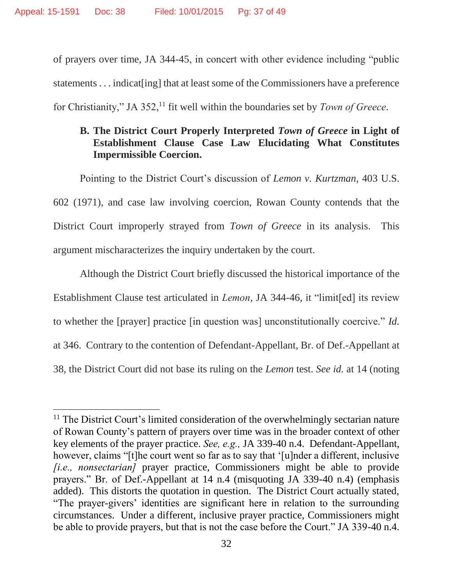$\overline{a}$ 

of prayers over time, JA 344-45, in concert with other evidence including "public statements . . . indicat [ing] that at least some of the Commissioners have a preference for Christianity," JA 352,<sup>11</sup> fit well within the boundaries set by *Town of Greece*.

# **B. The District Court Properly Interpreted** *Town of Greece* **in Light of Establishment Clause Case Law Elucidating What Constitutes Impermissible Coercion.**

Pointing to the District Court's discussion of *Lemon v. Kurtzman*, 403 U.S. 602 (1971), and case law involving coercion, Rowan County contends that the District Court improperly strayed from *Town of Greece* in its analysis. This argument mischaracterizes the inquiry undertaken by the court.

Although the District Court briefly discussed the historical importance of the Establishment Clause test articulated in *Lemon*, JA 344-46, it "limit[ed] its review to whether the [prayer] practice [in question was] unconstitutionally coercive." *Id.*  at 346. Contrary to the contention of Defendant-Appellant, Br. of Def.-Appellant at 38, the District Court did not base its ruling on the *Lemon* test. *See id.* at 14 (noting

<sup>&</sup>lt;sup>11</sup> The District Court's limited consideration of the overwhelmingly sectarian nature of Rowan County's pattern of prayers over time was in the broader context of other key elements of the prayer practice. *See, e.g.,* JA 339-40 n.4. Defendant-Appellant, however, claims "[t]he court went so far as to say that '[u]nder a different, inclusive *[i.e., nonsectarian]* prayer practice, Commissioners might be able to provide prayers." Br. of Def.-Appellant at 14 n.4 (misquoting JA 339-40 n.4) (emphasis added). This distorts the quotation in question. The District Court actually stated, "The prayer-givers' identities are significant here in relation to the surrounding circumstances. Under a different, inclusive prayer practice, Commissioners might be able to provide prayers, but that is not the case before the Court." JA 339-40 n.4.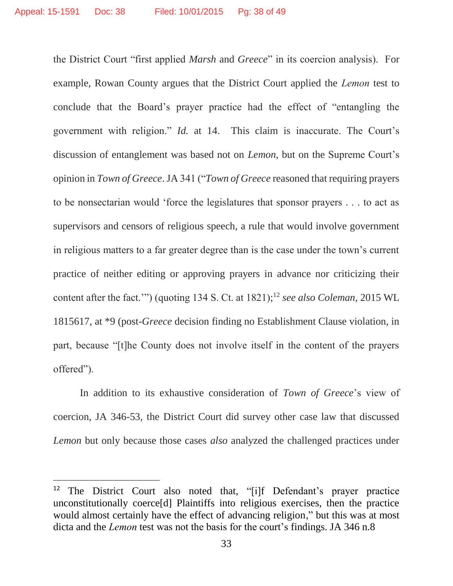the District Court "first applied *Marsh* and *Greece*" in its coercion analysis). For example, Rowan County argues that the District Court applied the *Lemon* test to conclude that the Board's prayer practice had the effect of "entangling the government with religion." *Id.* at 14. This claim is inaccurate. The Court's discussion of entanglement was based not on *Lemon*, but on the Supreme Court's opinion in *Town of Greece*. JA 341 ("*Town of Greece* reasoned that requiring prayers to be nonsectarian would 'force the legislatures that sponsor prayers . . . to act as supervisors and censors of religious speech, a rule that would involve government in religious matters to a far greater degree than is the case under the town's current practice of neither editing or approving prayers in advance nor criticizing their content after the fact.'") (quoting 134 S. Ct. at 1821); <sup>12</sup> *see also Coleman*, 2015 WL 1815617, at \*9 (post-*Greece* decision finding no Establishment Clause violation, in part, because "[t]he County does not involve itself in the content of the prayers offered").

In addition to its exhaustive consideration of *Town of Greece*'s view of coercion, JA 346-53, the District Court did survey other case law that discussed *Lemon* but only because those cases *also* analyzed the challenged practices under

 $\overline{\phantom{a}}$ 

<sup>&</sup>lt;sup>12</sup> The District Court also noted that, "[i]f Defendant's prayer practice unconstitutionally coerce[d] Plaintiffs into religious exercises, then the practice would almost certainly have the effect of advancing religion," but this was at most dicta and the *Lemon* test was not the basis for the court's findings. JA 346 n.8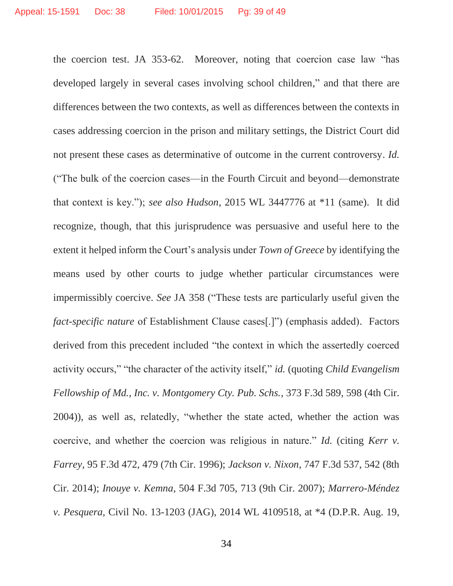the coercion test. JA 353-62. Moreover, noting that coercion case law "has developed largely in several cases involving school children," and that there are differences between the two contexts, as well as differences between the contexts in cases addressing coercion in the prison and military settings, the District Court did not present these cases as determinative of outcome in the current controversy. *Id.*  ("The bulk of the coercion cases—in the Fourth Circuit and beyond—demonstrate that context is key."); *see also Hudson*, 2015 WL 3447776 at \*11 (same). It did recognize, though, that this jurisprudence was persuasive and useful here to the extent it helped inform the Court's analysis under *Town of Greece* by identifying the means used by other courts to judge whether particular circumstances were impermissibly coercive. *See* JA 358 ("These tests are particularly useful given the *fact-specific nature* of Establishment Clause cases[.]") (emphasis added). Factors derived from this precedent included "the context in which the assertedly coerced activity occurs," "the character of the activity itself," *id.* (quoting *Child Evangelism Fellowship of Md., Inc. v. Montgomery Cty. Pub. Schs.*, 373 F.3d 589, 598 (4th Cir. 2004)), as well as, relatedly, "whether the state acted, whether the action was coercive, and whether the coercion was religious in nature." *Id.* (citing *Kerr v. Farrey*, 95 F.3d 472, 479 (7th Cir. 1996); *Jackson v. Nixon*, 747 F.3d 537, 542 (8th Cir. 2014); *Inouye v. Kemna*, 504 F.3d 705, 713 (9th Cir. 2007); *Marrero-Méndez v. Pesquera*, Civil No. 13-1203 (JAG), 2014 WL 4109518, at \*4 (D.P.R. Aug. 19,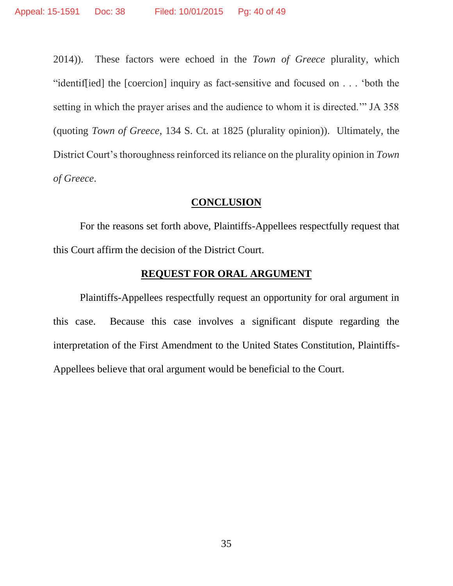2014)). These factors were echoed in the *Town of Greece* plurality, which "identif[ied] the [coercion] inquiry as fact-sensitive and focused on . . . 'both the setting in which the prayer arises and the audience to whom it is directed.'" JA 358 (quoting *Town of Greece*, 134 S. Ct. at 1825 (plurality opinion)). Ultimately, the District Court's thoroughness reinforced its reliance on the plurality opinion in *Town of Greece*.

#### **CONCLUSION**

For the reasons set forth above, Plaintiffs-Appellees respectfully request that this Court affirm the decision of the District Court.

## **REQUEST FOR ORAL ARGUMENT**

Plaintiffs-Appellees respectfully request an opportunity for oral argument in this case. Because this case involves a significant dispute regarding the interpretation of the First Amendment to the United States Constitution, Plaintiffs-Appellees believe that oral argument would be beneficial to the Court.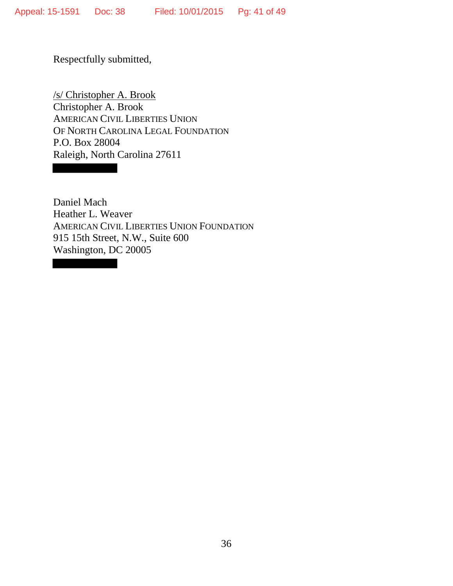Respectfully submitted,

/s/ Christopher A. Brook Christopher A. Brook AMERICAN CIVIL LIBERTIES UNION OF NORTH CAROLINA LEGAL FOUNDATION P.O. Box 28004 Raleigh, North Carolina 27611

Daniel Mach Heather L. Weaver AMERICAN CIVIL LIBERTIES UNION FOUNDATION 915 15th Street, N.W., Suite 600 Washington, DC 20005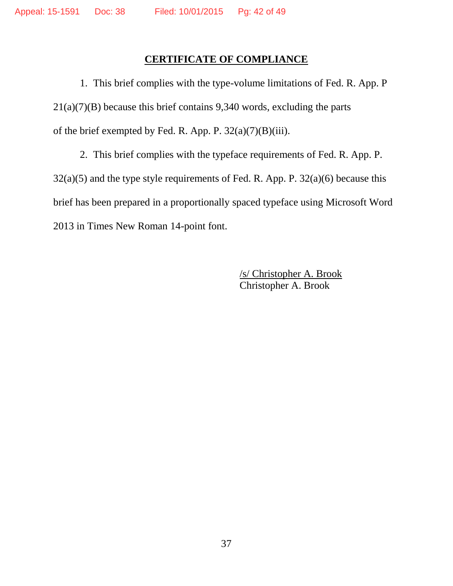# **CERTIFICATE OF COMPLIANCE**

1. This brief complies with the type-volume limitations of Fed. R. App. P  $21(a)(7)(B)$  because this brief contains 9,340 words, excluding the parts of the brief exempted by Fed. R. App. P.  $32(a)(7)(B)(iii)$ .

2. This brief complies with the typeface requirements of Fed. R. App. P.  $32(a)(5)$  and the type style requirements of Fed. R. App. P.  $32(a)(6)$  because this brief has been prepared in a proportionally spaced typeface using Microsoft Word 2013 in Times New Roman 14-point font.

> /s/ Christopher A. Brook Christopher A. Brook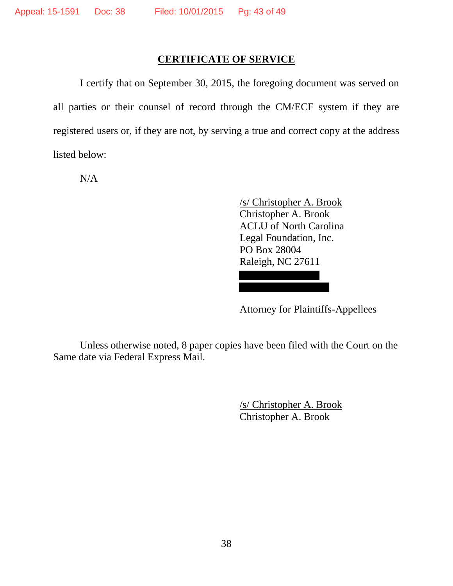## **CERTIFICATE OF SERVICE**

 I certify that on September 30, 2015, the foregoing document was served on all parties or their counsel of record through the CM/ECF system if they are registered users or, if they are not, by serving a true and correct copy at the address listed below:

N/A

/s/ Christopher A. Brook Christopher A. Brook ACLU of North Carolina Legal Foundation, Inc. PO Box 28004 Raleigh, NC 27611

Attorney for Plaintiffs-Appellees

 Unless otherwise noted, 8 paper copies have been filed with the Court on the Same date via Federal Express Mail.

> /s/ Christopher A. Brook Christopher A. Brook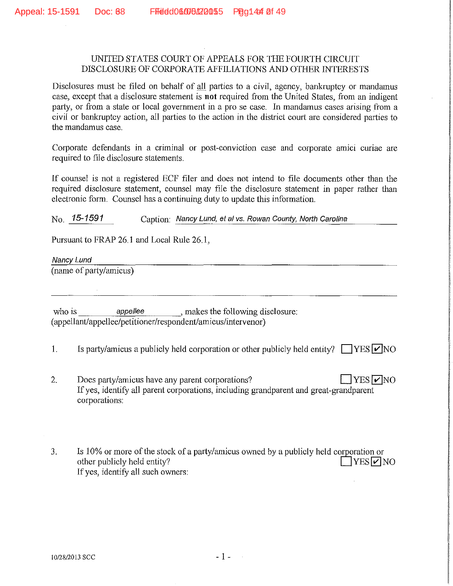#### UNITED STATES COURT OF APPEALS FOR THE FOURTH CIRCUIT DISCLOSURE OF CORPORATE AFFILIATIONS AND OTHER INTERESTS

Disclosures must be filed on behalf of all parties to a civil, agency, bankruptcy or mandamus case, except that a disclosure statement is **not** required from the United States, from an indigent party, or from a state or local government in a pro se case. In mandamus cases arising from a civil or banlauptcy action, all parties to the action in the district court are considered parties to the mandamus case.

Corporate defendants in a criminal or post-conviction case and corporate amici curiae are required to file disclosure statements.

If counsel is not a registered ECF filer and does not intend to file documents other than the required disclosure statement, counsel may file the disclosure statement in paper rather than electronic form. Counsel has a continuing duty to update this information.

 $N<sub>0</sub>$ , 15-1591 Caption: Nancy Lund, et al vs. Rowan County, North Carolina

Pursuant to FRAP 26.1 and Local Rule 26.1,

Nancy Lund

(name of party/amicus)

who is appellee , makes the following disclosure: (appellant/appellee/petitioner/respondent/amicus/intervenor)

- 1. Is party/amicus a publicly held corporation or other publicly held entity?  $\Box$  YES  $\Box$  NO
- 2. Does party/amicus have any parent corporations?  $\Box$  YES  $\nabla$  NO If yes, identify all parent corporations, including grandparent and great-grandparent corporations:
- 3. Is 10% or more of the stock of a party/amicus owned by a publicly held corporation or other publicly held entity?  $\Box$  YES  $\Box$  NO If yes, identify all such owners: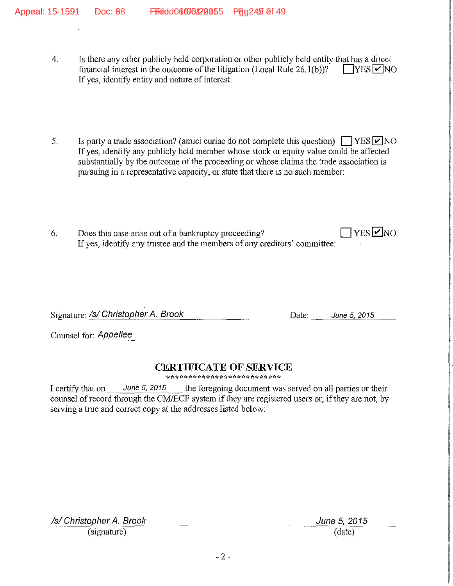- 4. Is there any other publicly held corporation or other publicly held entity that has a direct financial interest in the outcome of the litigation (Local Rule 26.1(b))?  $\Box$  YES  $\Box$  NO financial interest in the outcome of the litigation (Local Rule  $26.1(b)$ )? If yes, identify entity and nature of interest:
- 5. Is party a trade association? (amici curiae do not complete this question)  $\Box$  YES $\Box$ NO If yes, identify any publicly held member whose stock or equity value could be affected substantially by the outcome of the proceeding or whose claims the trade association is pursuing in a representative capacity, or state that there is no such member:
- 6. Does this case arise out of a bankruptcy proceeding?  $\Box$  YES  $\neg$  NO If yes, identify any trustee and the members of any creditors' committee:

Signature: /s/ Christopher *A. Brook* Date: *June 5, 2015* 

Counsel for: *Appellee* 

# **CERTIFICATE OF SERVICE**

\*\*\*\*\*\*\*\*\*\*\*\*\*\*\*\*\*\*\*\*\*\*\*\*

I certify that on June 5, 2015 the foregoing document was served on all parties or their counsel of record through the CM/ECF system if they are registered users or, if they are not, by serving a true and correct copy at the addresses listed below:

Isl Christopher *A.* Brook June 5, 2015 (signature) (date)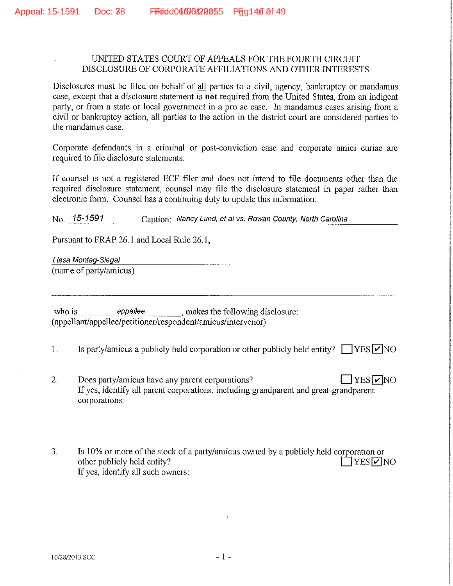#### UNITED STATES COURT OF APPEALS FOR THE FOURTH CIRCUIT DISCLOSURE OF CORPORATE AFFILIATIONS AND OTHER INTERESTS

Disclosures must be filed on behalf of all parties to a civil, agency, bankruptcy or mandamus case, except that a disclosure statement is **not** required from the United States, from an indigent party, or from a state or local government in a pro se case. In mandamus cases arising from a civil or bankruptcy action, all parties to the action in the district court are considered parties to the mandamus case.

Corporate defendants in a criminal or post-conviction case and corporate amici curiae are required to file disclosure statements.

If counsel is not a registered ECF filer and does not intend to file documents other than the required disclosure statement, counsel may file the disclosure statement in paper rather than electronic form. Counsel has a continuing duty to update this information.

No. 15-1591 Caption: Nancy Lund, et al vs. Rowan County, North Carolina

Pursuant to FRAP 26.1 and Local Rule 26.1,

Liesa Montag-Siegal

(name of party/amicus)

who is **appeller** , makes the following disclosure: ( appellant/appellee/petitioner/respondent/amicus/intervenor)

- 1. Is party/amicus a publicly held corporation or other publicly held entity?  $\Box$  YES  $\Box$  NO
- 2. Does party/amicus have any parent corporations?  $\Box$  YES  $\neg$  NO If yes, identify all parent corporations, including grandparent and great-grandparent corporations:
- 3. Is 10% or more of the stock of a party/amicus owned by a publicly held corporation or other publicly held entity?  $\Box$  YES  $\Box$  NO If yes, identify all such owners: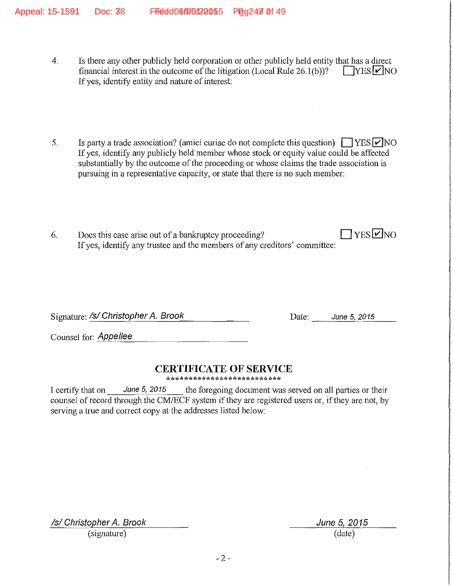- 4. Is there any other publicly held corporation or other publicly held entity that has a direct financial interest in the outcome of the litigation (Local Rule 26.1(b))?  $\Box$  YES  $\Box$  NO If yes, identify entity and nature of interest:
- 5. Is party a trade association? (amici curiae do not complete this question)  $\Box$  YES  $\Box$  NO If yes, identify any publicly held member whose stock or equity value could be affected substantially by the outcome of the proceeding or whose claims the trade association is pursuing in a representative capacity, or state that there is no such member:
- 6. Does this case arise out of a bankruptcy proceeding?  $\Box$  YES  $\Box$  NO If yes, identify any trustee and the members of any creditors' committee:

Signature: /s/ Christopher *A. Brook* Date: *June 5, 2015* 

Counsel for: *Appellee* 

## **CERTIFICATE OF SERVICE**

\*\*\*\*\*\*\*\*\*\*\*\*\*\*\*\*\*\*\*\*\*\*\*\*\*\*

I certify that on June 5, 2015 the foregoing document was served on all parties or their counsel of record through the CM/ECF system if they are registered users or, if they are not, by serving a true and correct copy at the addresses listed below:

Isl Christopher *A.* Brook June 5, *2015*  (signature) (date)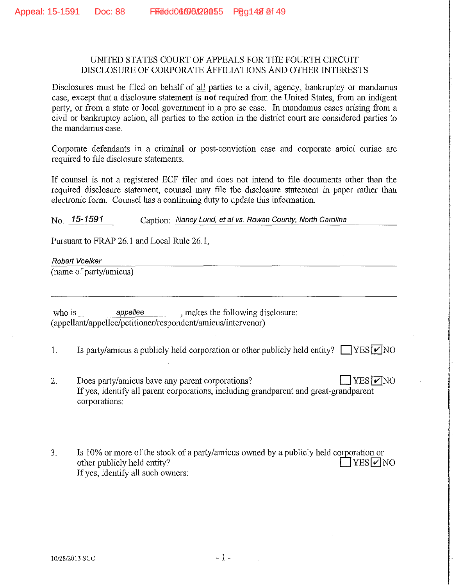#### UNITED STATES COURT OF APPEALS FOR THE FOURTH CIRCUIT DISCLOSURE OF CORPORATE AFFILIATIONS AND OTHER INTERESTS

Disclosures must be filed on behalf of all parties to a civil, agency, bankruptcy or mandamus case, except that a disclosure statement is **not** required from the United States, from an indigent party, or from a state or local government in a pro se case. In mandamus cases arising from a civil or bankruptcy action, all parties to the action in the district court are considered parties to the mandamus case.

Corporate defendants in a criminal or post-conviction case and corporate amici curiae are required to file disclosure statements.

If counsel is not a registered ECF filer and does not intend to file documents other than the required disclosure statement, counsel may file the disclosure statement in paper rather than electronic form. Counsel has a continuing duty to update this information.

No. 15-1591 Caption: Nancy Lund, et al vs. Rowan County, North Carolina

Pursuant to FRAP 26.1 and Local Rule 26.1,

Robert Voelker

(name of party/amicus)

who is *appellee* appelled *appellee* makes the following disclosure: (appellant/appellee/petitioner/respondent/amicus/intervenor)

- 1. Is party/amicus a publicly held corporation or other publicly held entity?  $\Box$  YES  $\nu$  NO
- 2. Does party/amicus have any parent corporations?  $\Box$  YES  $\neg$  NO If yes, identify all parent corporations, including grandparent and great-grandparent corporations:
- 3. Is  $10\%$  or more of the stock of a party/amicus owned by a publicly held corporation or other publicly held entity?  $\Box$  YES  $\Box$  NO If yes, identify all such owners: